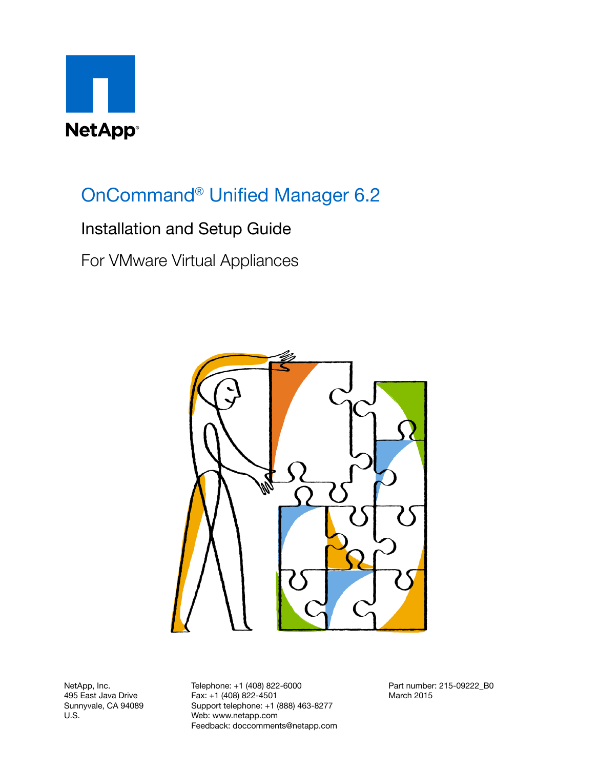

# OnCommand<sup>®</sup> Unified Manager 6.2

## Installation and Setup Guide

For VMware Virtual Appliances



NetApp, Inc. 495 East Java Drive Sunnyvale, CA 94089 U.S.

Telephone: +1 (408) 822-6000 Fax: +1 (408) 822-4501 Support telephone: +1 (888) 463-8277 Web: www.netapp.com Feedback: doccomments@netapp.com Part number: 215-09222\_B0 March 2015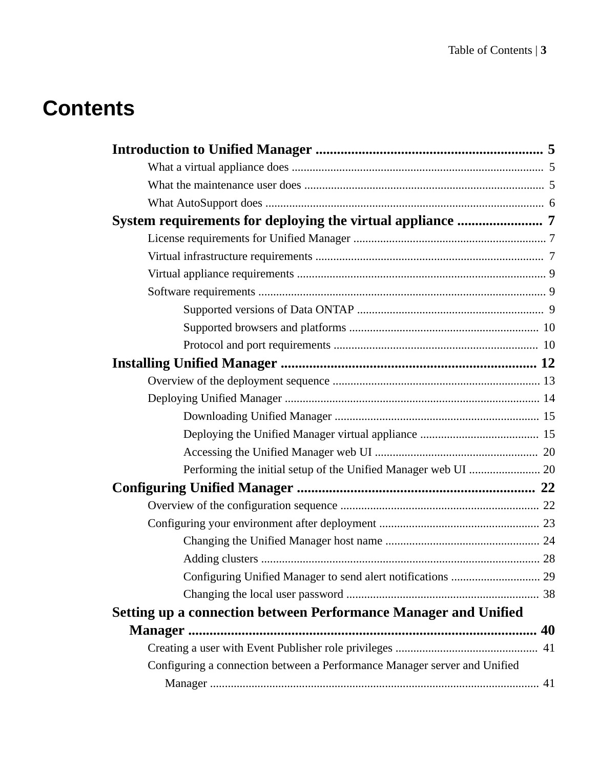# **Contents**

| Setting up a connection between Performance Manager and Unified           |  |
|---------------------------------------------------------------------------|--|
|                                                                           |  |
|                                                                           |  |
| Configuring a connection between a Performance Manager server and Unified |  |
|                                                                           |  |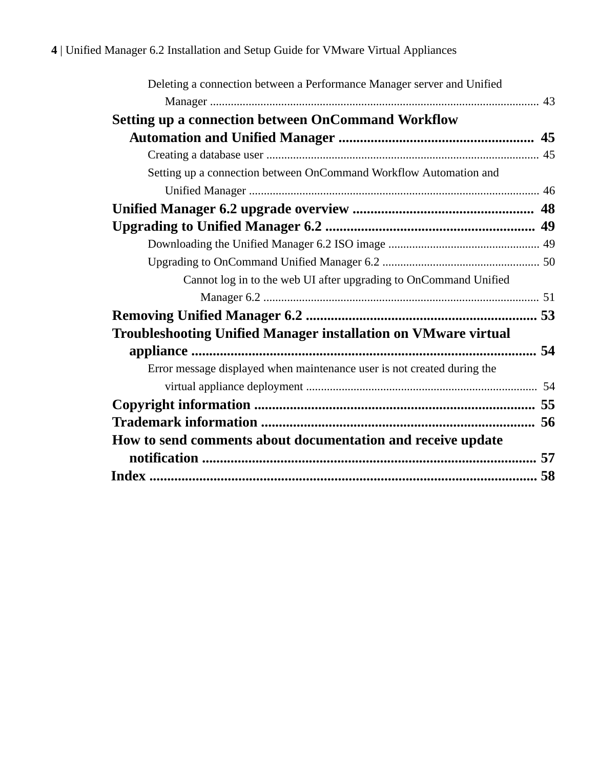| Deleting a connection between a Performance Manager server and Unified  |  |
|-------------------------------------------------------------------------|--|
|                                                                         |  |
| <b>Setting up a connection between OnCommand Workflow</b>               |  |
|                                                                         |  |
|                                                                         |  |
| Setting up a connection between OnCommand Workflow Automation and       |  |
|                                                                         |  |
|                                                                         |  |
|                                                                         |  |
|                                                                         |  |
|                                                                         |  |
| Cannot log in to the web UI after upgrading to OnCommand Unified        |  |
|                                                                         |  |
|                                                                         |  |
| Troubleshooting Unified Manager installation on VMware virtual          |  |
|                                                                         |  |
| Error message displayed when maintenance user is not created during the |  |
|                                                                         |  |
|                                                                         |  |
|                                                                         |  |
| How to send comments about documentation and receive update             |  |
|                                                                         |  |
|                                                                         |  |
|                                                                         |  |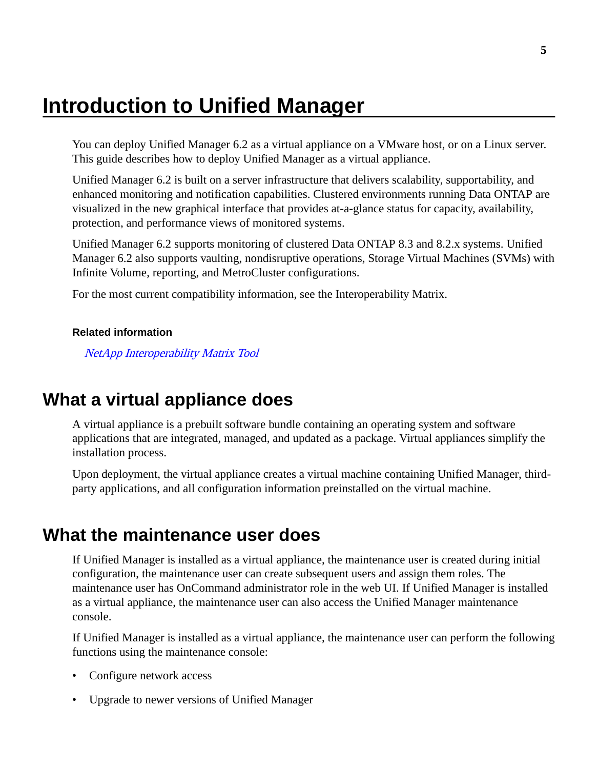# <span id="page-4-0"></span>**Introduction to Unified Manager**

You can deploy Unified Manager 6.2 as a virtual appliance on a VMware host, or on a Linux server. This guide describes how to deploy Unified Manager as a virtual appliance.

Unified Manager 6.2 is built on a server infrastructure that delivers scalability, supportability, and enhanced monitoring and notification capabilities. Clustered environments running Data ONTAP are visualized in the new graphical interface that provides at-a-glance status for capacity, availability, protection, and performance views of monitored systems.

Unified Manager 6.2 supports monitoring of clustered Data ONTAP 8.3 and 8.2.x systems. Unified Manager 6.2 also supports vaulting, nondisruptive operations, Storage Virtual Machines (SVMs) with Infinite Volume, reporting, and MetroCluster configurations.

For the most current compatibility information, see the Interoperability Matrix.

#### **Related information**

[NetApp Interoperability Matrix Tool](http://mysupport.netapp.com/matrix)

## **What a virtual appliance does**

A virtual appliance is a prebuilt software bundle containing an operating system and software applications that are integrated, managed, and updated as a package. Virtual appliances simplify the installation process.

Upon deployment, the virtual appliance creates a virtual machine containing Unified Manager, thirdparty applications, and all configuration information preinstalled on the virtual machine.

## **What the maintenance user does**

If Unified Manager is installed as a virtual appliance, the maintenance user is created during initial configuration, the maintenance user can create subsequent users and assign them roles. The maintenance user has OnCommand administrator role in the web UI. If Unified Manager is installed as a virtual appliance, the maintenance user can also access the Unified Manager maintenance console.

If Unified Manager is installed as a virtual appliance, the maintenance user can perform the following functions using the maintenance console:

- Configure network access
- Upgrade to newer versions of Unified Manager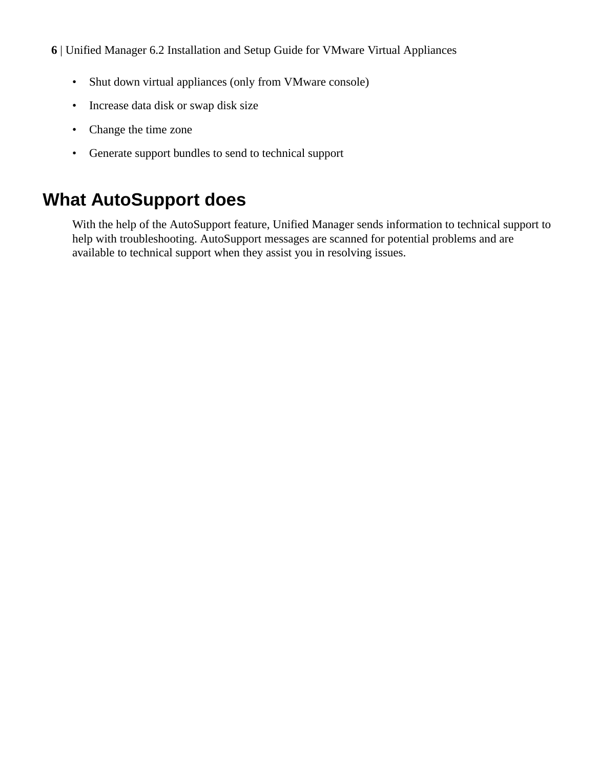- <span id="page-5-0"></span>**6** | Unified Manager 6.2 Installation and Setup Guide for VMware Virtual Appliances
	- Shut down virtual appliances (only from VMware console)
	- Increase data disk or swap disk size
	- Change the time zone
	- Generate support bundles to send to technical support

# **What AutoSupport does**

With the help of the AutoSupport feature, Unified Manager sends information to technical support to help with troubleshooting. AutoSupport messages are scanned for potential problems and are available to technical support when they assist you in resolving issues.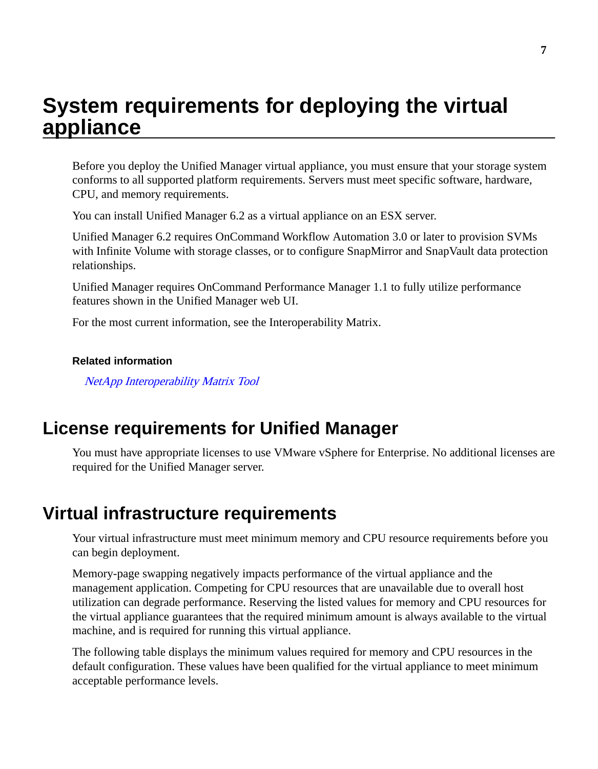# <span id="page-6-0"></span>**System requirements for deploying the virtual appliance**

Before you deploy the Unified Manager virtual appliance, you must ensure that your storage system conforms to all supported platform requirements. Servers must meet specific software, hardware, CPU, and memory requirements.

You can install Unified Manager 6.2 as a virtual appliance on an ESX server.

Unified Manager 6.2 requires OnCommand Workflow Automation 3.0 or later to provision SVMs with Infinite Volume with storage classes, or to configure SnapMirror and SnapVault data protection relationships.

Unified Manager requires OnCommand Performance Manager 1.1 to fully utilize performance features shown in the Unified Manager web UI.

For the most current information, see the Interoperability Matrix.

#### **Related information**

[NetApp Interoperability Matrix Tool](http://mysupport.netapp.com/matrix)

## **License requirements for Unified Manager**

You must have appropriate licenses to use VMware vSphere for Enterprise. No additional licenses are required for the Unified Manager server.

## **Virtual infrastructure requirements**

Your virtual infrastructure must meet minimum memory and CPU resource requirements before you can begin deployment.

Memory-page swapping negatively impacts performance of the virtual appliance and the management application. Competing for CPU resources that are unavailable due to overall host utilization can degrade performance. Reserving the listed values for memory and CPU resources for the virtual appliance guarantees that the required minimum amount is always available to the virtual machine, and is required for running this virtual appliance.

The following table displays the minimum values required for memory and CPU resources in the default configuration. These values have been qualified for the virtual appliance to meet minimum acceptable performance levels.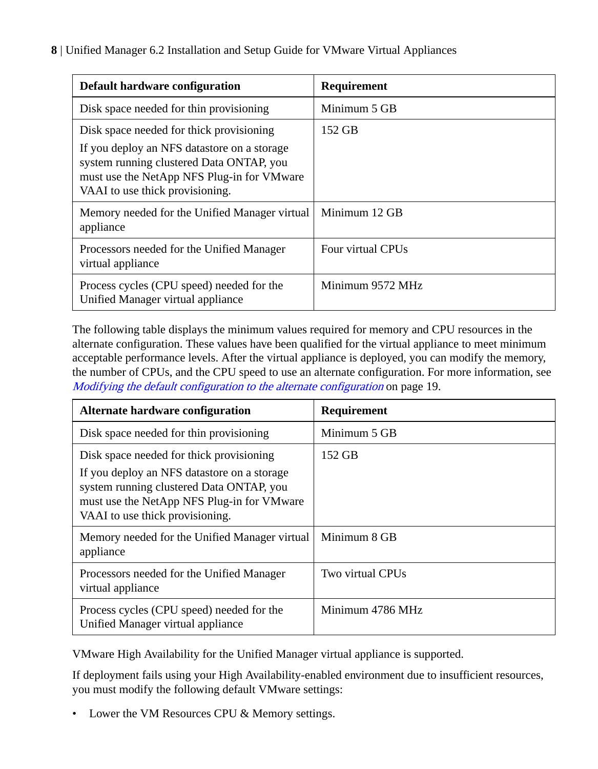| Default hardware configuration                                                                                                                                                                                       | Requirement       |
|----------------------------------------------------------------------------------------------------------------------------------------------------------------------------------------------------------------------|-------------------|
| Disk space needed for thin provisioning                                                                                                                                                                              | Minimum 5 GB      |
| Disk space needed for thick provisioning<br>If you deploy an NFS datastore on a storage<br>system running clustered Data ONTAP, you<br>must use the NetApp NFS Plug-in for VMware<br>VAAI to use thick provisioning. | 152 GB            |
| Memory needed for the Unified Manager virtual<br>appliance                                                                                                                                                           | Minimum 12 GB     |
| Processors needed for the Unified Manager<br>virtual appliance                                                                                                                                                       | Four virtual CPUs |
| Process cycles (CPU speed) needed for the<br>Unified Manager virtual appliance                                                                                                                                       | Minimum 9572 MHz  |

The following table displays the minimum values required for memory and CPU resources in the alternate configuration. These values have been qualified for the virtual appliance to meet minimum acceptable performance levels. After the virtual appliance is deployed, you can modify the memory, the number of CPUs, and the CPU speed to use an alternate configuration. For more information, see [Modifying the default configuration to the alternate configuration](#page-18-0) on page 19.

| Alternate hardware configuration                                                                                                                                                                                     | Requirement      |
|----------------------------------------------------------------------------------------------------------------------------------------------------------------------------------------------------------------------|------------------|
| Disk space needed for thin provisioning                                                                                                                                                                              | Minimum 5 GB     |
| Disk space needed for thick provisioning<br>If you deploy an NFS datastore on a storage<br>system running clustered Data ONTAP, you<br>must use the NetApp NFS Plug-in for VMware<br>VAAI to use thick provisioning. | 152 GB           |
| Memory needed for the Unified Manager virtual<br>appliance                                                                                                                                                           | Minimum 8 GB     |
| Processors needed for the Unified Manager<br>virtual appliance                                                                                                                                                       | Two virtual CPUs |
| Process cycles (CPU speed) needed for the<br>Unified Manager virtual appliance                                                                                                                                       | Minimum 4786 MHz |

VMware High Availability for the Unified Manager virtual appliance is supported.

If deployment fails using your High Availability-enabled environment due to insufficient resources, you must modify the following default VMware settings:

• Lower the VM Resources CPU & Memory settings.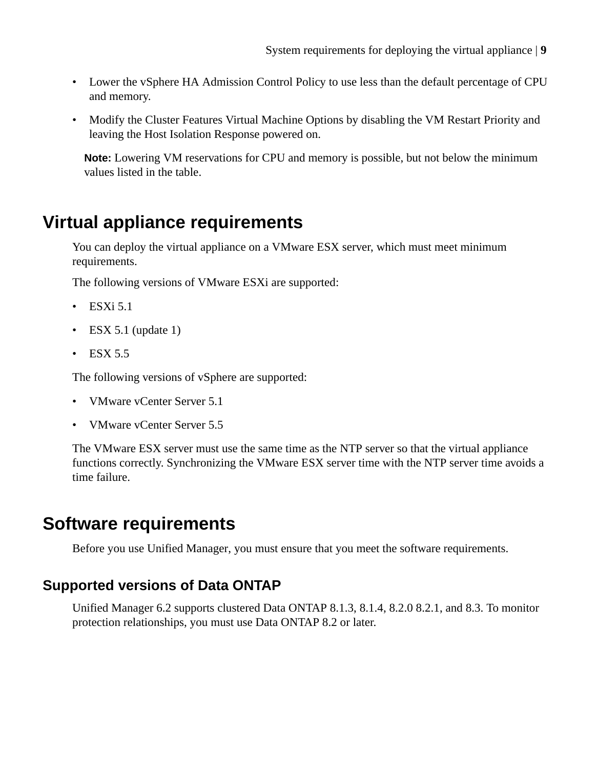- <span id="page-8-0"></span>• Lower the vSphere HA Admission Control Policy to use less than the default percentage of CPU and memory.
- Modify the Cluster Features Virtual Machine Options by disabling the VM Restart Priority and leaving the Host Isolation Response powered on.

**Note:** Lowering VM reservations for CPU and memory is possible, but not below the minimum values listed in the table.

# **Virtual appliance requirements**

You can deploy the virtual appliance on a VMware ESX server, which must meet minimum requirements.

The following versions of VMware ESXi are supported:

- $\cdot$  ESXi 5.1
- ESX 5.1 (update 1)
- $\cdot$  ESX 5.5

The following versions of vSphere are supported:

- VMware vCenter Server 5.1
- VMware vCenter Server 5.5

The VMware ESX server must use the same time as the NTP server so that the virtual appliance functions correctly. Synchronizing the VMware ESX server time with the NTP server time avoids a time failure.

## **Software requirements**

Before you use Unified Manager, you must ensure that you meet the software requirements.

## **Supported versions of Data ONTAP**

Unified Manager 6.2 supports clustered Data ONTAP 8.1.3, 8.1.4, 8.2.0 8.2.1, and 8.3. To monitor protection relationships, you must use Data ONTAP 8.2 or later.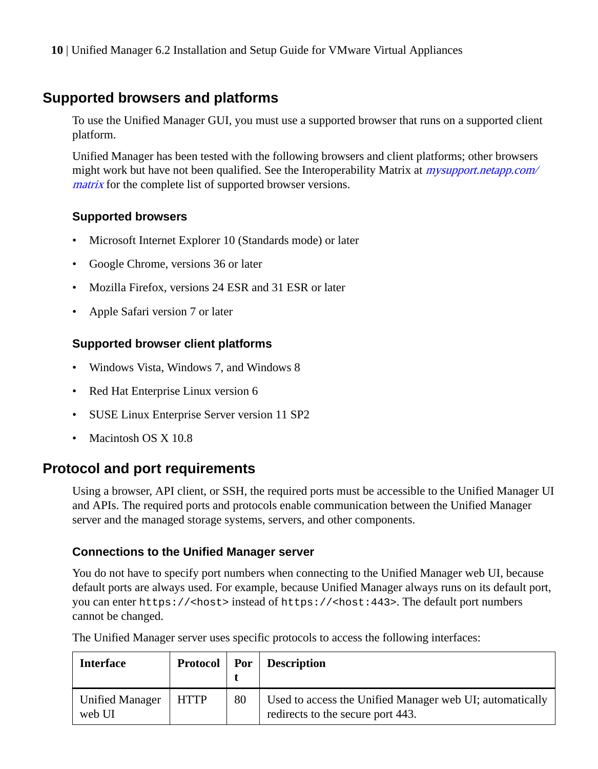## <span id="page-9-0"></span>**Supported browsers and platforms**

To use the Unified Manager GUI, you must use a supported browser that runs on a supported client platform.

Unified Manager has been tested with the following browsers and client platforms; other browsers might work but have not been qualified. See the Interoperability Matrix at *mysupport.netapp.com*/ [matrix](http://mysupport.netapp.com/matrix) for the complete list of supported browser versions.

#### **Supported browsers**

- Microsoft Internet Explorer 10 (Standards mode) or later
- Google Chrome, versions 36 or later
- Mozilla Firefox, versions 24 ESR and 31 ESR or later
- Apple Safari version 7 or later

#### **Supported browser client platforms**

- Windows Vista, Windows 7, and Windows 8
- Red Hat Enterprise Linux version 6
- SUSE Linux Enterprise Server version 11 SP2
- Macintosh OS X 10.8

### **Protocol and port requirements**

Using a browser, API client, or SSH, the required ports must be accessible to the Unified Manager UI and APIs. The required ports and protocols enable communication between the Unified Manager server and the managed storage systems, servers, and other components.

#### **Connections to the Unified Manager server**

You do not have to specify port numbers when connecting to the Unified Manager web UI, because default ports are always used. For example, because Unified Manager always runs on its default port, you can enter https://<host> instead of https://<host:443>. The default port numbers cannot be changed.

The Unified Manager server uses specific protocols to access the following interfaces:

| <b>Interface</b>                 | <b>Protocol</b> | Por | Description                                                                                   |
|----------------------------------|-----------------|-----|-----------------------------------------------------------------------------------------------|
| <b>Unified Manager</b><br>web UI | <b>HTTP</b>     | 80  | Used to access the Unified Manager web UI; automatically<br>redirects to the secure port 443. |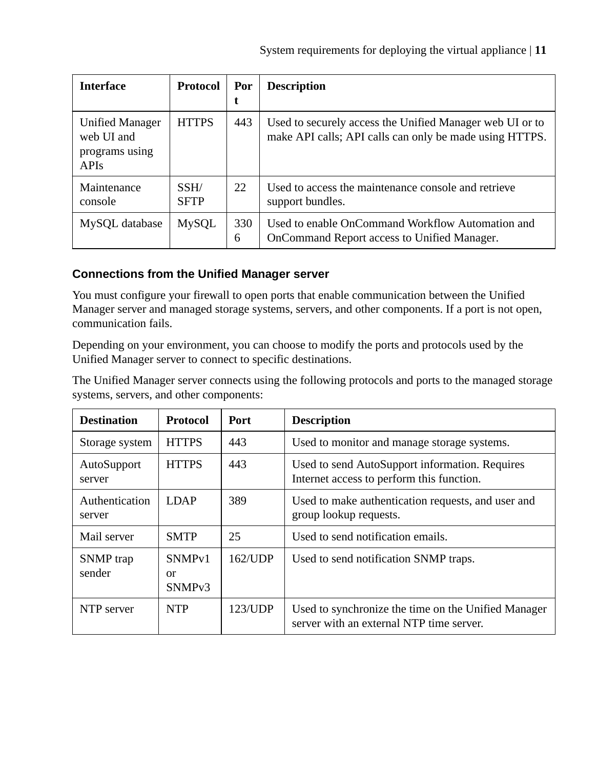| <b>Interface</b>                                                      | <b>Protocol</b>     | Por<br>t | <b>Description</b>                                                                                                  |
|-----------------------------------------------------------------------|---------------------|----------|---------------------------------------------------------------------------------------------------------------------|
| <b>Unified Manager</b><br>web UI and<br>programs using<br><b>APIs</b> | <b>HTTPS</b>        | 443      | Used to securely access the Unified Manager web UI or to<br>make API calls; API calls can only be made using HTTPS. |
| Maintenance<br>console                                                | SSH/<br><b>SFTP</b> | 22       | Used to access the maintenance console and retrieve<br>support bundles.                                             |
| MySQL database                                                        | MySQL               | 330<br>6 | Used to enable OnCommand Workflow Automation and<br>OnCommand Report access to Unified Manager.                     |

#### **Connections from the Unified Manager server**

You must configure your firewall to open ports that enable communication between the Unified Manager server and managed storage systems, servers, and other components. If a port is not open, communication fails.

Depending on your environment, you can choose to modify the ports and protocols used by the Unified Manager server to connect to specific destinations.

The Unified Manager server connects using the following protocols and ports to the managed storage systems, servers, and other components:

| <b>Destination</b>       | <b>Protocol</b>                                | Port       | <b>Description</b>                                                                              |
|--------------------------|------------------------------------------------|------------|-------------------------------------------------------------------------------------------------|
| Storage system           | <b>HTTPS</b>                                   | 443        | Used to monitor and manage storage systems.                                                     |
| AutoSupport<br>server    | <b>HTTPS</b>                                   | 443        | Used to send AutoSupport information. Requires<br>Internet access to perform this function.     |
| Authentication<br>server | <b>LDAP</b>                                    | 389        | Used to make authentication requests, and user and<br>group lookup requests.                    |
| Mail server              | <b>SMTP</b>                                    | 25         | Used to send notification emails.                                                               |
| SNMP trap<br>sender      | SNMP <sub>v1</sub><br>or<br>SNMP <sub>v3</sub> | $162$ /UDP | Used to send notification SNMP traps.                                                           |
| NTP server               | <b>NTP</b>                                     | 123/UDP    | Used to synchronize the time on the Unified Manager<br>server with an external NTP time server. |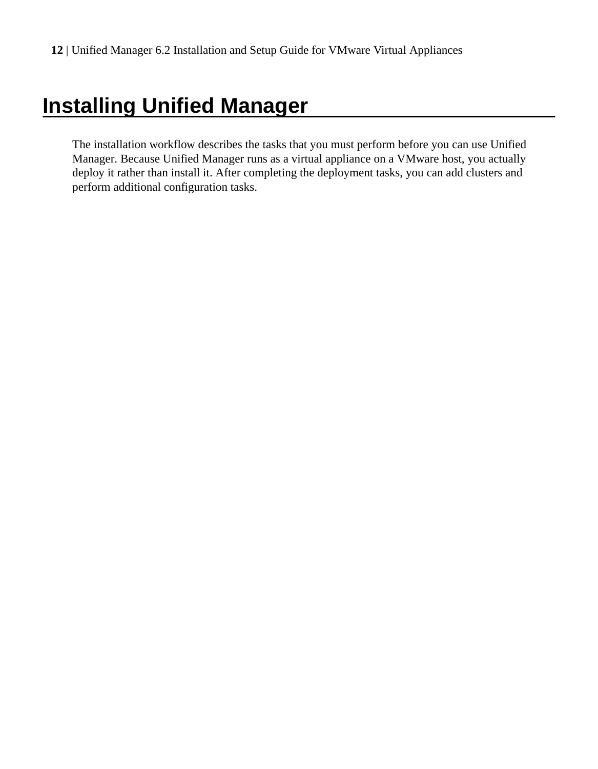# <span id="page-11-0"></span>**Installing Unified Manager**

The installation workflow describes the tasks that you must perform before you can use Unified Manager. Because Unified Manager runs as a virtual appliance on a VMware host, you actually deploy it rather than install it. After completing the deployment tasks, you can add clusters and perform additional configuration tasks.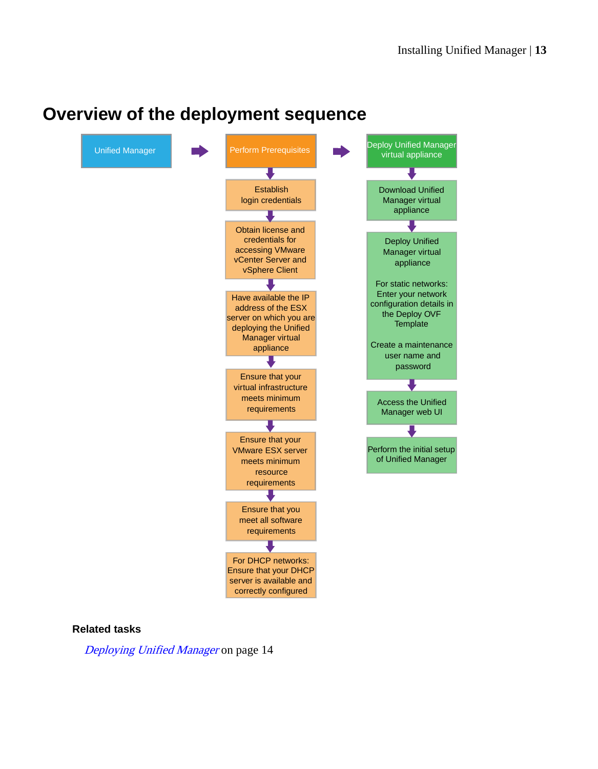# <span id="page-12-0"></span>**Overview of the deployment sequence**



#### **Related tasks**

[Deploying Unified Manager](#page-13-0) on page 14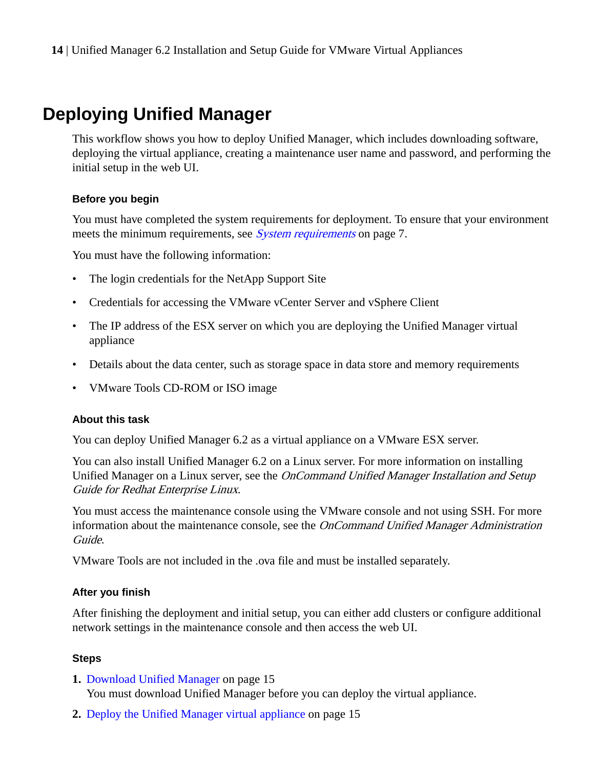# <span id="page-13-0"></span>**Deploying Unified Manager**

This workflow shows you how to deploy Unified Manager, which includes downloading software, deploying the virtual appliance, creating a maintenance user name and password, and performing the initial setup in the web UI.

#### **Before you begin**

You must have completed the system requirements for deployment. To ensure that your environment meets the minimum requirements, see *[System requirements](#page-6-0)* on page 7.

You must have the following information:

- The login credentials for the NetApp Support Site
- Credentials for accessing the VMware vCenter Server and vSphere Client
- The IP address of the ESX server on which you are deploying the Unified Manager virtual appliance
- Details about the data center, such as storage space in data store and memory requirements
- VMware Tools CD-ROM or ISO image

#### **About this task**

You can deploy Unified Manager 6.2 as a virtual appliance on a VMware ESX server.

You can also install Unified Manager 6.2 on a Linux server. For more information on installing Unified Manager on a Linux server, see the *OnCommand Unified Manager Installation and Setup* Guide for Redhat Enterprise Linux.

You must access the maintenance console using the VMware console and not using SSH. For more information about the maintenance console, see the *OnCommand Unified Manager Administration* Guide.

VMware Tools are not included in the .ova file and must be installed separately.

#### **After you finish**

After finishing the deployment and initial setup, you can either add clusters or configure additional network settings in the maintenance console and then access the web UI.

#### **Steps**

- **1.** [Download Unified Manager](#page-14-0) on page 15 You must download Unified Manager before you can deploy the virtual appliance.
- **2.** [Deploy the Unified Manager virtual appliance](#page-14-0) on page 15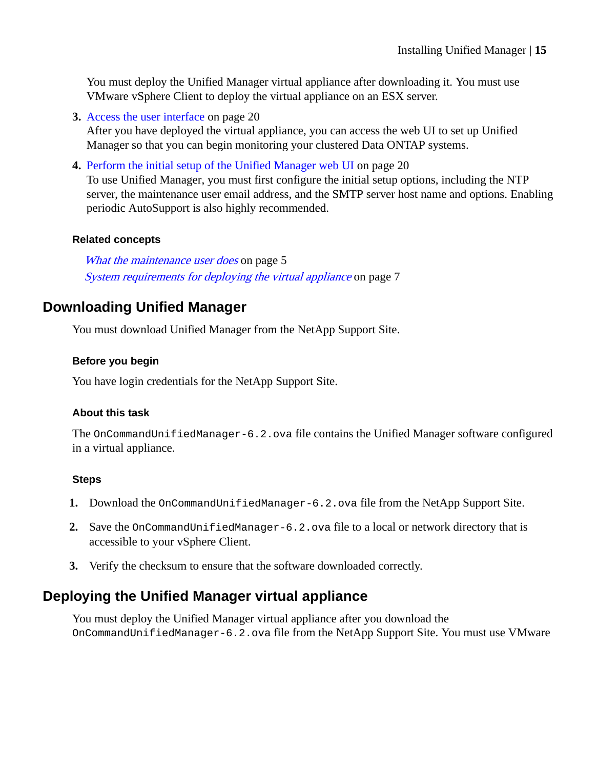<span id="page-14-0"></span>You must deploy the Unified Manager virtual appliance after downloading it. You must use VMware vSphere Client to deploy the virtual appliance on an ESX server.

- **3.** [Access the user interface](#page-19-0) on page 20 After you have deployed the virtual appliance, you can access the web UI to set up Unified Manager so that you can begin monitoring your clustered Data ONTAP systems.
- **4.** [Perform the initial setup of the Unified Manager web UI](#page-19-0) on page 20

To use Unified Manager, you must first configure the initial setup options, including the NTP server, the maintenance user email address, and the SMTP server host name and options. Enabling periodic AutoSupport is also highly recommended.

#### **Related concepts**

[What the maintenance user does](#page-4-0) on page 5 [System requirements for deploying the virtual appliance](#page-6-0) on page 7

## **Downloading Unified Manager**

You must download Unified Manager from the NetApp Support Site.

#### **Before you begin**

You have login credentials for the NetApp Support Site.

#### **About this task**

The OnCommandUnifiedManager-6.2.ova file contains the Unified Manager software configured in a virtual appliance.

#### **Steps**

- **1.** Download the OnCommandUnifiedManager-6.2.ova file from the NetApp Support Site.
- **2.** Save the OnCommandUnifiedManager-6.2.ova file to a local or network directory that is accessible to your vSphere Client.
- **3.** Verify the checksum to ensure that the software downloaded correctly.

## **Deploying the Unified Manager virtual appliance**

You must deploy the Unified Manager virtual appliance after you download the OnCommandUnifiedManager-6.2.ova file from the NetApp Support Site. You must use VMware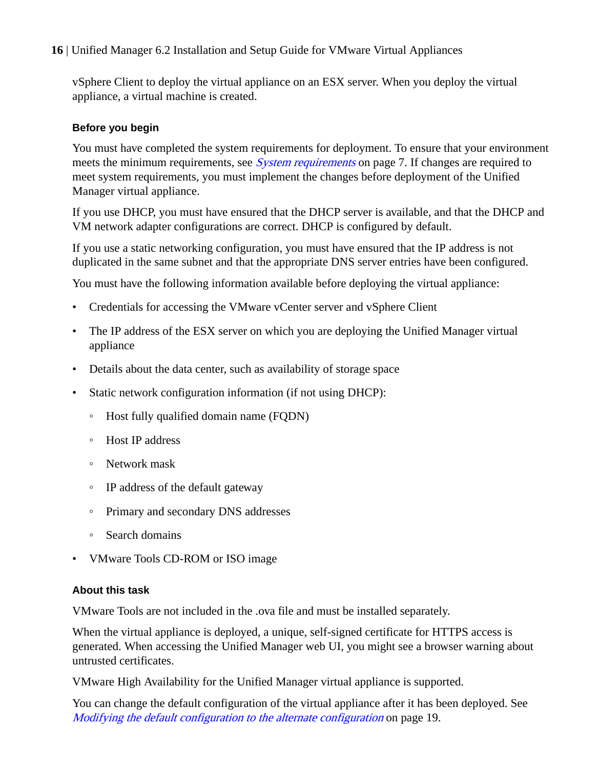vSphere Client to deploy the virtual appliance on an ESX server. When you deploy the virtual appliance, a virtual machine is created.

#### **Before you begin**

You must have completed the system requirements for deployment. To ensure that your environment meets the minimum requirements, see *[System requirements](#page-6-0)* on page 7. If changes are required to meet system requirements, you must implement the changes before deployment of the Unified Manager virtual appliance.

If you use DHCP, you must have ensured that the DHCP server is available, and that the DHCP and VM network adapter configurations are correct. DHCP is configured by default.

If you use a static networking configuration, you must have ensured that the IP address is not duplicated in the same subnet and that the appropriate DNS server entries have been configured.

You must have the following information available before deploying the virtual appliance:

- Credentials for accessing the VMware vCenter server and vSphere Client
- The IP address of the ESX server on which you are deploying the Unified Manager virtual appliance
- Details about the data center, such as availability of storage space
- Static network configuration information (if not using DHCP):
	- Host fully qualified domain name (FQDN)
	- Host IP address
	- Network mask
	- IP address of the default gateway
	- Primary and secondary DNS addresses
	- Search domains
- VMware Tools CD-ROM or ISO image

#### **About this task**

VMware Tools are not included in the .ova file and must be installed separately.

When the virtual appliance is deployed, a unique, self-signed certificate for HTTPS access is generated. When accessing the Unified Manager web UI, you might see a browser warning about untrusted certificates.

VMware High Availability for the Unified Manager virtual appliance is supported.

You can change the default configuration of the virtual appliance after it has been deployed. See [Modifying the default configuration to the alternate configuration](#page-18-0) on page 19.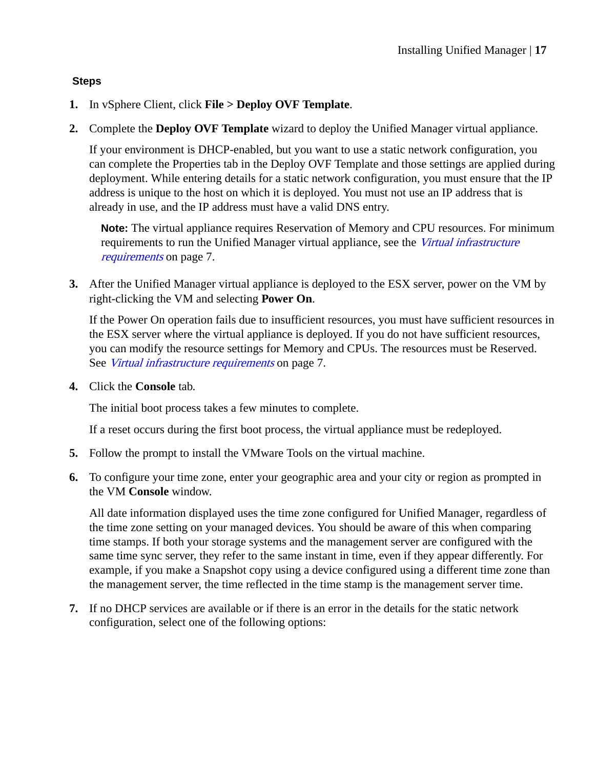#### **Steps**

- **1.** In vSphere Client, click **File > Deploy OVF Template**.
- **2.** Complete the **Deploy OVF Template** wizard to deploy the Unified Manager virtual appliance.

If your environment is DHCP-enabled, but you want to use a static network configuration, you can complete the Properties tab in the Deploy OVF Template and those settings are applied during deployment. While entering details for a static network configuration, you must ensure that the IP address is unique to the host on which it is deployed. You must not use an IP address that is already in use, and the IP address must have a valid DNS entry.

**Note:** The virtual appliance requires Reservation of Memory and CPU resources. For minimum requirements to run the Unified Manager virtual appliance, see the [Virtual infrastructure](#page-6-0) [requirements](#page-6-0) on page 7.

**3.** After the Unified Manager virtual appliance is deployed to the ESX server, power on the VM by right-clicking the VM and selecting **Power On**.

If the Power On operation fails due to insufficient resources, you must have sufficient resources in the ESX server where the virtual appliance is deployed. If you do not have sufficient resources, you can modify the resource settings for Memory and CPUs. The resources must be Reserved. See [Virtual infrastructure requirements](#page-6-0) on page 7.

**4.** Click the **Console** tab.

The initial boot process takes a few minutes to complete.

If a reset occurs during the first boot process, the virtual appliance must be redeployed.

- **5.** Follow the prompt to install the VMware Tools on the virtual machine.
- **6.** To configure your time zone, enter your geographic area and your city or region as prompted in the VM **Console** window.

All date information displayed uses the time zone configured for Unified Manager, regardless of the time zone setting on your managed devices. You should be aware of this when comparing time stamps. If both your storage systems and the management server are configured with the same time sync server, they refer to the same instant in time, even if they appear differently. For example, if you make a Snapshot copy using a device configured using a different time zone than the management server, the time reflected in the time stamp is the management server time.

**7.** If no DHCP services are available or if there is an error in the details for the static network configuration, select one of the following options: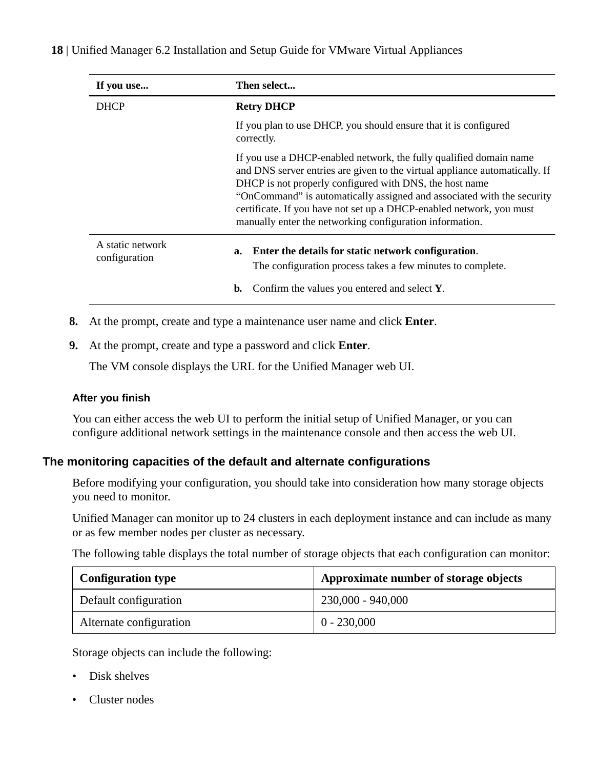<span id="page-17-0"></span>

| If you use                        | Then select                                                                                                                                                                                                                                                                                                                                                                                                                |  |  |
|-----------------------------------|----------------------------------------------------------------------------------------------------------------------------------------------------------------------------------------------------------------------------------------------------------------------------------------------------------------------------------------------------------------------------------------------------------------------------|--|--|
| <b>DHCP</b>                       | <b>Retry DHCP</b>                                                                                                                                                                                                                                                                                                                                                                                                          |  |  |
|                                   | If you plan to use DHCP, you should ensure that it is configured<br>correctly.                                                                                                                                                                                                                                                                                                                                             |  |  |
|                                   | If you use a DHCP-enabled network, the fully qualified domain name<br>and DNS server entries are given to the virtual appliance automatically. If<br>DHCP is not properly configured with DNS, the host name<br>"OnCommand" is automatically assigned and associated with the security<br>certificate. If you have not set up a DHCP-enabled network, you must<br>manually enter the networking configuration information. |  |  |
| A static network<br>configuration | Enter the details for static network configuration.<br>a.<br>The configuration process takes a few minutes to complete.                                                                                                                                                                                                                                                                                                    |  |  |
|                                   | Confirm the values you entered and select Y.<br>b.                                                                                                                                                                                                                                                                                                                                                                         |  |  |

- **8.** At the prompt, create and type a maintenance user name and click **Enter**.
- **9.** At the prompt, create and type a password and click **Enter**.

The VM console displays the URL for the Unified Manager web UI.

#### **After you finish**

You can either access the web UI to perform the initial setup of Unified Manager, or you can configure additional network settings in the maintenance console and then access the web UI.

#### **The monitoring capacities of the default and alternate configurations**

Before modifying your configuration, you should take into consideration how many storage objects you need to monitor.

Unified Manager can monitor up to 24 clusters in each deployment instance and can include as many or as few member nodes per cluster as necessary.

The following table displays the total number of storage objects that each configuration can monitor:

| <b>Configuration type</b> | Approximate number of storage objects |
|---------------------------|---------------------------------------|
| Default configuration     | 230,000 - 940,000                     |
| Alternate configuration   | $0 - 230,000$                         |

Storage objects can include the following:

- Disk shelves
- Cluster nodes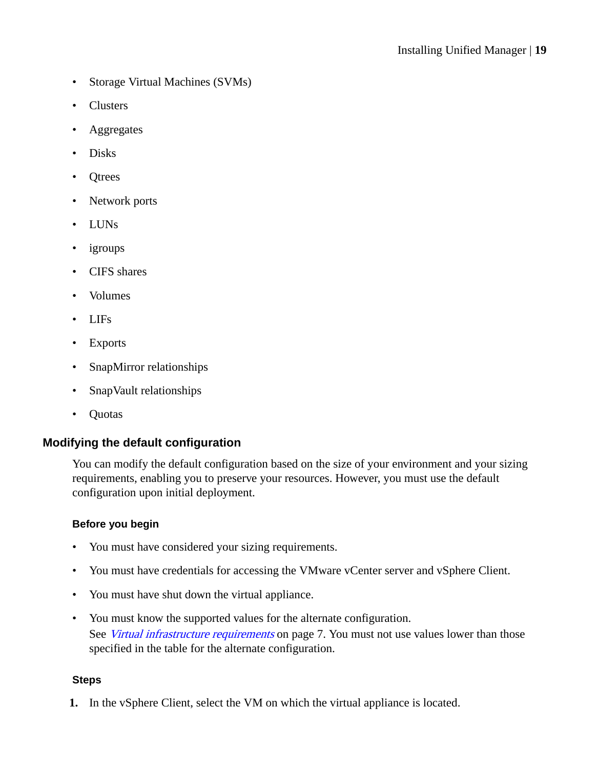- <span id="page-18-0"></span>• Storage Virtual Machines (SVMs)
- Clusters
- Aggregates
- Disks
- Otrees
- Network ports
- LUNs
- igroups
- CIFS shares
- Volumes
- LIFs
- Exports
- SnapMirror relationships
- SnapVault relationships
- Quotas

#### **Modifying the default configuration**

You can modify the default configuration based on the size of your environment and your sizing requirements, enabling you to preserve your resources. However, you must use the default configuration upon initial deployment.

#### **Before you begin**

- You must have considered your sizing requirements.
- You must have credentials for accessing the VMware vCenter server and vSphere Client.
- You must have shut down the virtual appliance.
- You must know the supported values for the alternate configuration. See *[Virtual infrastructure requirements](#page-6-0)* on page 7. You must not use values lower than those specified in the table for the alternate configuration.

#### **Steps**

**1.** In the vSphere Client, select the VM on which the virtual appliance is located.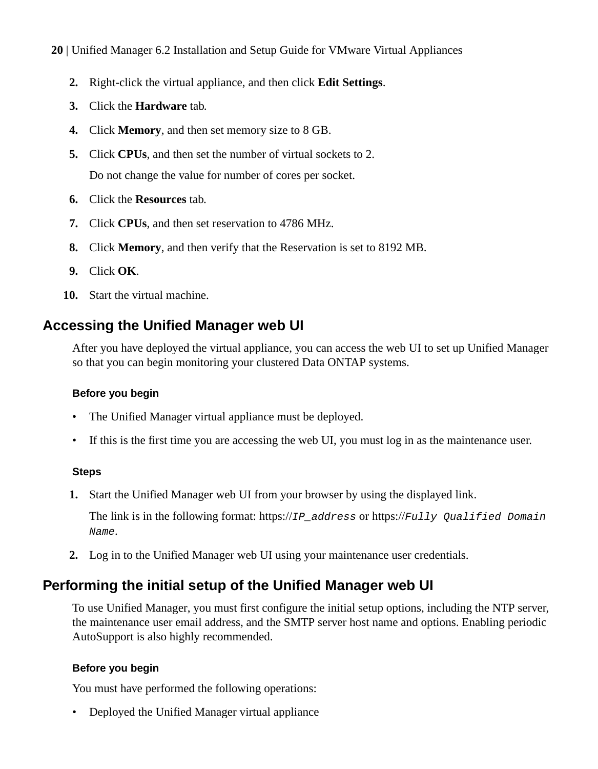- <span id="page-19-0"></span>**20** | Unified Manager 6.2 Installation and Setup Guide for VMware Virtual Appliances
	- **2.** Right-click the virtual appliance, and then click **Edit Settings**.
	- **3.** Click the **Hardware** tab.
	- **4.** Click **Memory**, and then set memory size to 8 GB.
	- **5.** Click **CPUs**, and then set the number of virtual sockets to 2. Do not change the value for number of cores per socket.
	- **6.** Click the **Resources** tab.
	- **7.** Click **CPUs**, and then set reservation to 4786 MHz.
	- **8.** Click **Memory**, and then verify that the Reservation is set to 8192 MB.
	- **9.** Click **OK**.
	- **10.** Start the virtual machine.

## **Accessing the Unified Manager web UI**

After you have deployed the virtual appliance, you can access the web UI to set up Unified Manager so that you can begin monitoring your clustered Data ONTAP systems.

#### **Before you begin**

- The Unified Manager virtual appliance must be deployed.
- If this is the first time you are accessing the web UI, you must log in as the maintenance user.

#### **Steps**

**1.** Start the Unified Manager web UI from your browser by using the displayed link.

The link is in the following format: https:// $IP\_address$  or https:// $Full$ y Qualified Domain Name.

**2.** Log in to the Unified Manager web UI using your maintenance user credentials.

## **Performing the initial setup of the Unified Manager web UI**

To use Unified Manager, you must first configure the initial setup options, including the NTP server, the maintenance user email address, and the SMTP server host name and options. Enabling periodic AutoSupport is also highly recommended.

#### **Before you begin**

You must have performed the following operations:

• Deployed the Unified Manager virtual appliance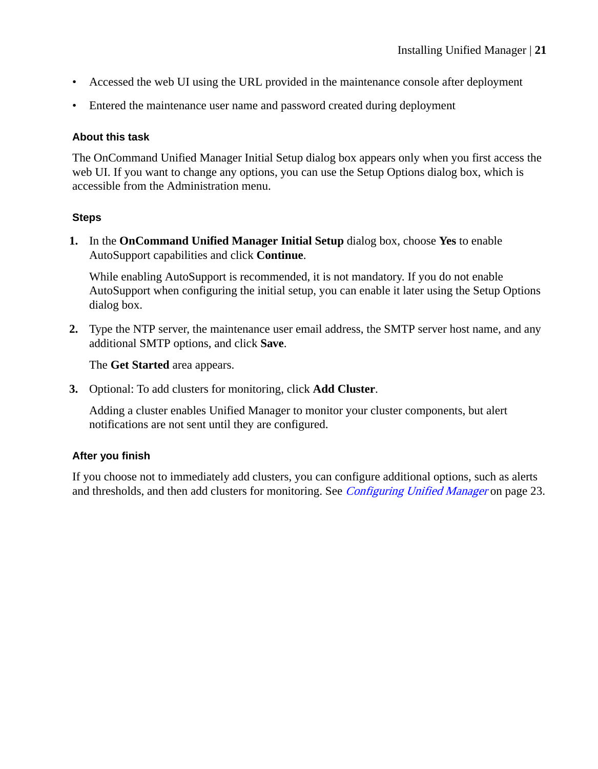- Accessed the web UI using the URL provided in the maintenance console after deployment
- Entered the maintenance user name and password created during deployment

#### **About this task**

The OnCommand Unified Manager Initial Setup dialog box appears only when you first access the web UI. If you want to change any options, you can use the Setup Options dialog box, which is accessible from the Administration menu.

#### **Steps**

**1.** In the **OnCommand Unified Manager Initial Setup** dialog box, choose **Yes** to enable AutoSupport capabilities and click **Continue**.

While enabling AutoSupport is recommended, it is not mandatory. If you do not enable AutoSupport when configuring the initial setup, you can enable it later using the Setup Options dialog box.

**2.** Type the NTP server, the maintenance user email address, the SMTP server host name, and any additional SMTP options, and click **Save**.

The **Get Started** area appears.

**3.** Optional: To add clusters for monitoring, click **Add Cluster**.

Adding a cluster enables Unified Manager to monitor your cluster components, but alert notifications are not sent until they are configured.

#### **After you finish**

If you choose not to immediately add clusters, you can configure additional options, such as alerts and thresholds, and then add clusters for monitoring. See *[Configuring Unified Manager](#page-22-0)* on page 23.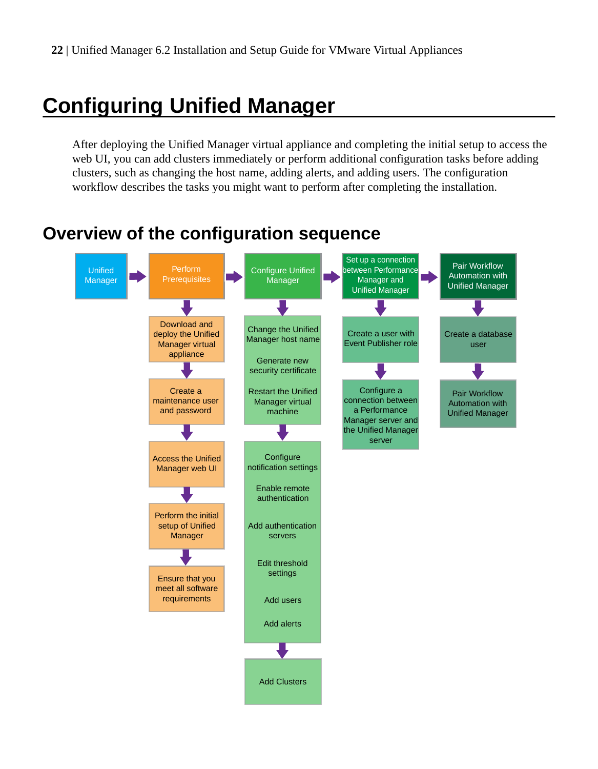# <span id="page-21-0"></span>**Configuring Unified Manager**

After deploying the Unified Manager virtual appliance and completing the initial setup to access the web UI, you can add clusters immediately or perform additional configuration tasks before adding clusters, such as changing the host name, adding alerts, and adding users. The configuration workflow describes the tasks you might want to perform after completing the installation.

## **Overview of the configuration sequence**

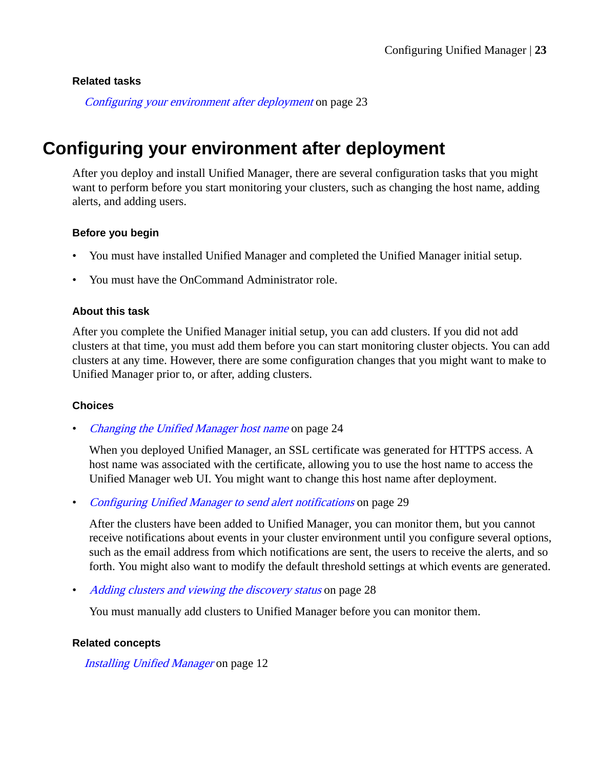#### <span id="page-22-0"></span>**Related tasks**

Configuring your environment after deployment on page 23

## **Configuring your environment after deployment**

After you deploy and install Unified Manager, there are several configuration tasks that you might want to perform before you start monitoring your clusters, such as changing the host name, adding alerts, and adding users.

#### **Before you begin**

- You must have installed Unified Manager and completed the Unified Manager initial setup.
- You must have the OnCommand Administrator role.

#### **About this task**

After you complete the Unified Manager initial setup, you can add clusters. If you did not add clusters at that time, you must add them before you can start monitoring cluster objects. You can add clusters at any time. However, there are some configuration changes that you might want to make to Unified Manager prior to, or after, adding clusters.

#### **Choices**

• [Changing the Unified Manager host name](#page-23-0) on page 24

When you deployed Unified Manager, an SSL certificate was generated for HTTPS access. A host name was associated with the certificate, allowing you to use the host name to access the Unified Manager web UI. You might want to change this host name after deployment.

• [Configuring Unified Manager to send alert notifications](#page-28-0) on page 29

After the clusters have been added to Unified Manager, you can monitor them, but you cannot receive notifications about events in your cluster environment until you configure several options, such as the email address from which notifications are sent, the users to receive the alerts, and so forth. You might also want to modify the default threshold settings at which events are generated.

• [Adding clusters and viewing the discovery status](#page-27-0) on page 28

You must manually add clusters to Unified Manager before you can monitor them.

#### **Related concepts**

[Installing Unified Manager](#page-11-0) on page 12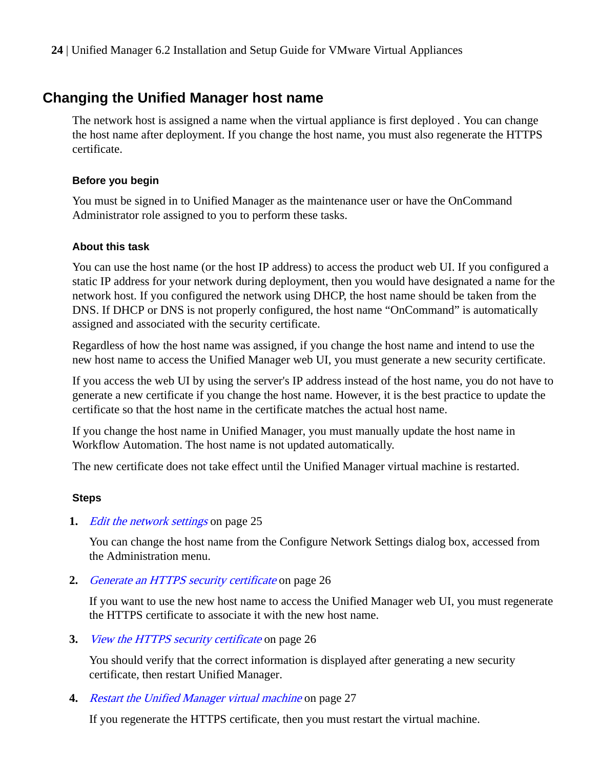## <span id="page-23-0"></span>**Changing the Unified Manager host name**

The network host is assigned a name when the virtual appliance is first deployed . You can change the host name after deployment. If you change the host name, you must also regenerate the HTTPS certificate.

#### **Before you begin**

You must be signed in to Unified Manager as the maintenance user or have the OnCommand Administrator role assigned to you to perform these tasks.

#### **About this task**

You can use the host name (or the host IP address) to access the product web UI. If you configured a static IP address for your network during deployment, then you would have designated a name for the network host. If you configured the network using DHCP, the host name should be taken from the DNS. If DHCP or DNS is not properly configured, the host name "OnCommand" is automatically assigned and associated with the security certificate.

Regardless of how the host name was assigned, if you change the host name and intend to use the new host name to access the Unified Manager web UI, you must generate a new security certificate.

If you access the web UI by using the server's IP address instead of the host name, you do not have to generate a new certificate if you change the host name. However, it is the best practice to update the certificate so that the host name in the certificate matches the actual host name.

If you change the host name in Unified Manager, you must manually update the host name in Workflow Automation. The host name is not updated automatically.

The new certificate does not take effect until the Unified Manager virtual machine is restarted.

#### **Steps**

#### **1.** [Edit the network settings](#page-24-0) on page 25

You can change the host name from the Configure Network Settings dialog box, accessed from the Administration menu.

**2.** [Generate an HTTPS security certificate](#page-25-0) on page 26

If you want to use the new host name to access the Unified Manager web UI, you must regenerate the HTTPS certificate to associate it with the new host name.

**3.** [View the HTTPS security certificate](#page-25-0) on page 26

You should verify that the correct information is displayed after generating a new security certificate, then restart Unified Manager.

**4.** [Restart the Unified Manager virtual machine](#page-26-0) on page 27

If you regenerate the HTTPS certificate, then you must restart the virtual machine.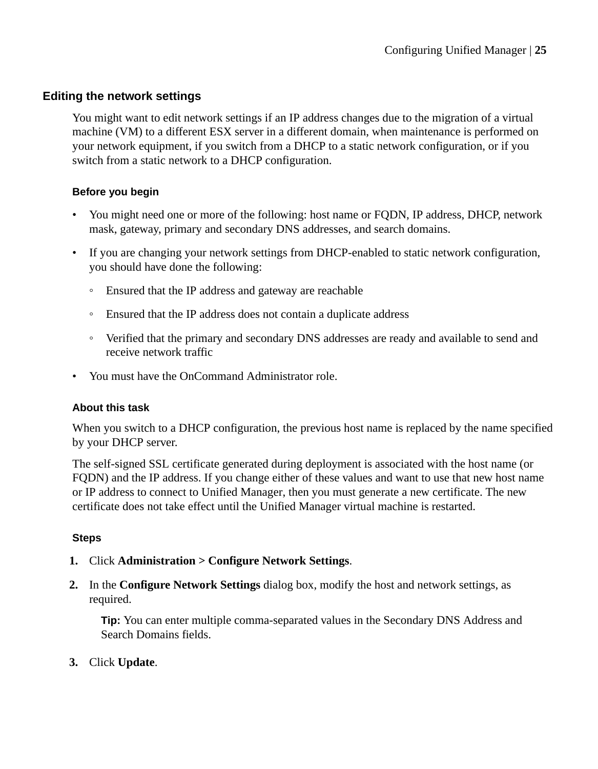#### <span id="page-24-0"></span>**Editing the network settings**

You might want to edit network settings if an IP address changes due to the migration of a virtual machine (VM) to a different ESX server in a different domain, when maintenance is performed on your network equipment, if you switch from a DHCP to a static network configuration, or if you switch from a static network to a DHCP configuration.

#### **Before you begin**

- You might need one or more of the following: host name or FQDN, IP address, DHCP, network mask, gateway, primary and secondary DNS addresses, and search domains.
- If you are changing your network settings from DHCP-enabled to static network configuration, you should have done the following:
	- Ensured that the IP address and gateway are reachable
	- Ensured that the IP address does not contain a duplicate address
	- Verified that the primary and secondary DNS addresses are ready and available to send and receive network traffic
- You must have the OnCommand Administrator role.

#### **About this task**

When you switch to a DHCP configuration, the previous host name is replaced by the name specified by your DHCP server.

The self-signed SSL certificate generated during deployment is associated with the host name (or FQDN) and the IP address. If you change either of these values and want to use that new host name or IP address to connect to Unified Manager, then you must generate a new certificate. The new certificate does not take effect until the Unified Manager virtual machine is restarted.

#### **Steps**

- **1.** Click **Administration > Configure Network Settings**.
- **2.** In the **Configure Network Settings** dialog box, modify the host and network settings, as required.

**Tip:** You can enter multiple comma-separated values in the Secondary DNS Address and Search Domains fields.

**3.** Click **Update**.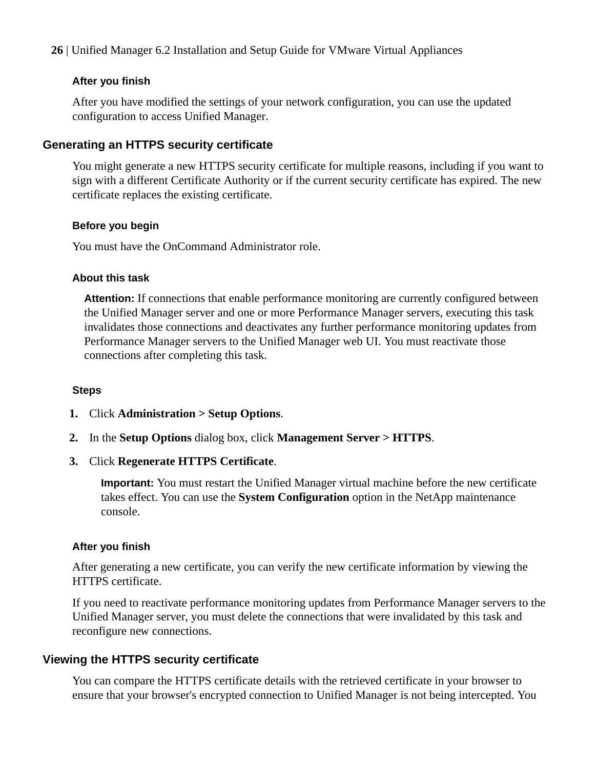#### <span id="page-25-0"></span>**After you finish**

After you have modified the settings of your network configuration, you can use the updated configuration to access Unified Manager.

#### **Generating an HTTPS security certificate**

You might generate a new HTTPS security certificate for multiple reasons, including if you want to sign with a different Certificate Authority or if the current security certificate has expired. The new certificate replaces the existing certificate.

#### **Before you begin**

You must have the OnCommand Administrator role.

#### **About this task**

**Attention:** If connections that enable performance monitoring are currently configured between the Unified Manager server and one or more Performance Manager servers, executing this task invalidates those connections and deactivates any further performance monitoring updates from Performance Manager servers to the Unified Manager web UI. You must reactivate those connections after completing this task.

#### **Steps**

- **1.** Click **Administration > Setup Options**.
- **2.** In the **Setup Options** dialog box, click **Management Server > HTTPS**.
- **3.** Click **Regenerate HTTPS Certificate**.

**Important:** You must restart the Unified Manager virtual machine before the new certificate takes effect. You can use the **System Configuration** option in the NetApp maintenance console.

#### **After you finish**

After generating a new certificate, you can verify the new certificate information by viewing the HTTPS certificate.

If you need to reactivate performance monitoring updates from Performance Manager servers to the Unified Manager server, you must delete the connections that were invalidated by this task and reconfigure new connections.

#### **Viewing the HTTPS security certificate**

You can compare the HTTPS certificate details with the retrieved certificate in your browser to ensure that your browser's encrypted connection to Unified Manager is not being intercepted. You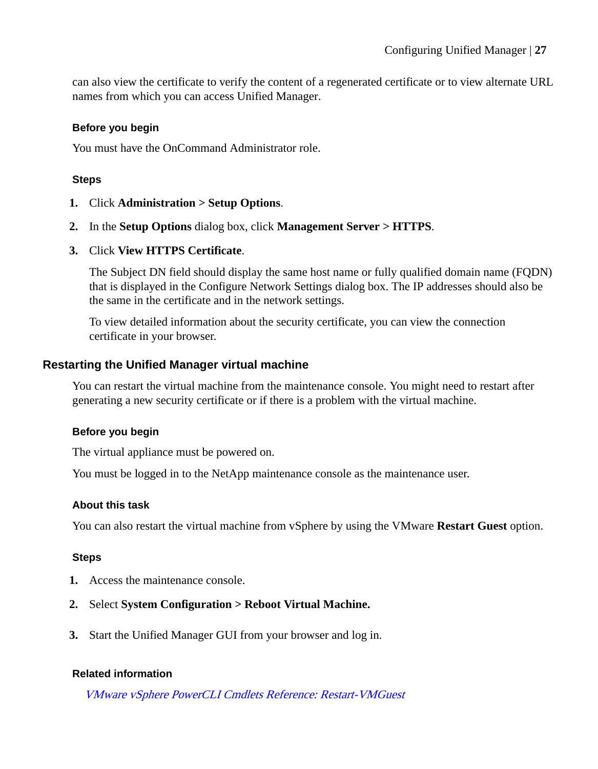<span id="page-26-0"></span>can also view the certificate to verify the content of a regenerated certificate or to view alternate URL names from which you can access Unified Manager.

#### **Before you begin**

You must have the OnCommand Administrator role.

#### **Steps**

- **1.** Click **Administration > Setup Options**.
- **2.** In the **Setup Options** dialog box, click **Management Server > HTTPS**.
- **3.** Click **View HTTPS Certificate**.

The Subject DN field should display the same host name or fully qualified domain name (FQDN) that is displayed in the Configure Network Settings dialog box. The IP addresses should also be the same in the certificate and in the network settings.

To view detailed information about the security certificate, you can view the connection certificate in your browser.

#### **Restarting the Unified Manager virtual machine**

You can restart the virtual machine from the maintenance console. You might need to restart after generating a new security certificate or if there is a problem with the virtual machine.

#### **Before you begin**

The virtual appliance must be powered on.

You must be logged in to the NetApp maintenance console as the maintenance user.

#### **About this task**

You can also restart the virtual machine from vSphere by using the VMware **Restart Guest** option.

#### **Steps**

- **1.** Access the maintenance console.
- **2.** Select **System Configuration > Reboot Virtual Machine.**
- **3.** Start the Unified Manager GUI from your browser and log in.

#### **Related information**

[VMware vSphere PowerCLI Cmdlets Reference: Restart-VMGuest](https://www.vmware.com/support/developer/PowerCLI/PowerCLI41/html/Restart-VMGuest.html)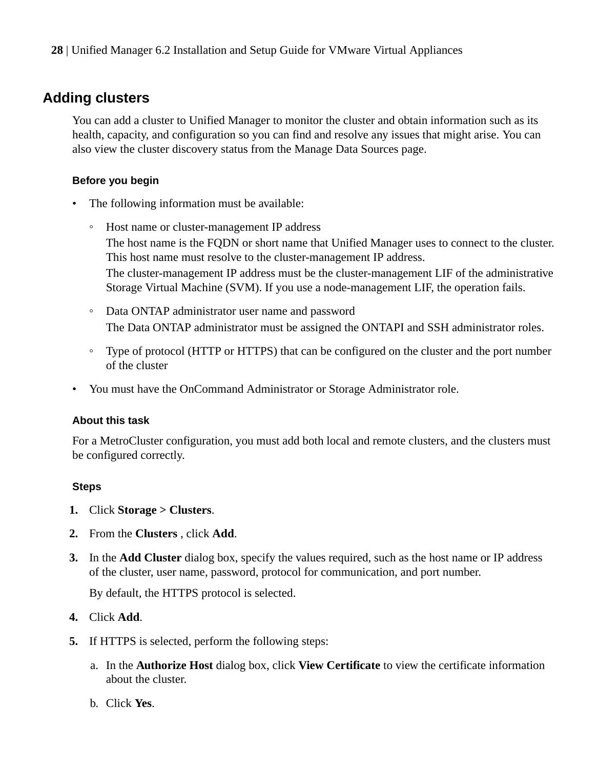## <span id="page-27-0"></span>**Adding clusters**

You can add a cluster to Unified Manager to monitor the cluster and obtain information such as its health, capacity, and configuration so you can find and resolve any issues that might arise. You can also view the cluster discovery status from the Manage Data Sources page.

#### **Before you begin**

- The following information must be available:
	- Host name or cluster-management IP address The host name is the FQDN or short name that Unified Manager uses to connect to the cluster. This host name must resolve to the cluster-management IP address. The cluster-management IP address must be the cluster-management LIF of the administrative Storage Virtual Machine (SVM). If you use a node-management LIF, the operation fails.
	- Data ONTAP administrator user name and password The Data ONTAP administrator must be assigned the ONTAPI and SSH administrator roles.
	- Type of protocol (HTTP or HTTPS) that can be configured on the cluster and the port number of the cluster
- You must have the OnCommand Administrator or Storage Administrator role.

#### **About this task**

For a MetroCluster configuration, you must add both local and remote clusters, and the clusters must be configured correctly.

#### **Steps**

- **1.** Click **Storage > Clusters**.
- **2.** From the **Clusters** , click **Add**.
- **3.** In the **Add Cluster** dialog box, specify the values required, such as the host name or IP address of the cluster, user name, password, protocol for communication, and port number.

By default, the HTTPS protocol is selected.

- **4.** Click **Add**.
- **5.** If HTTPS is selected, perform the following steps:
	- a. In the **Authorize Host** dialog box, click **View Certificate** to view the certificate information about the cluster.
	- b. Click **Yes**.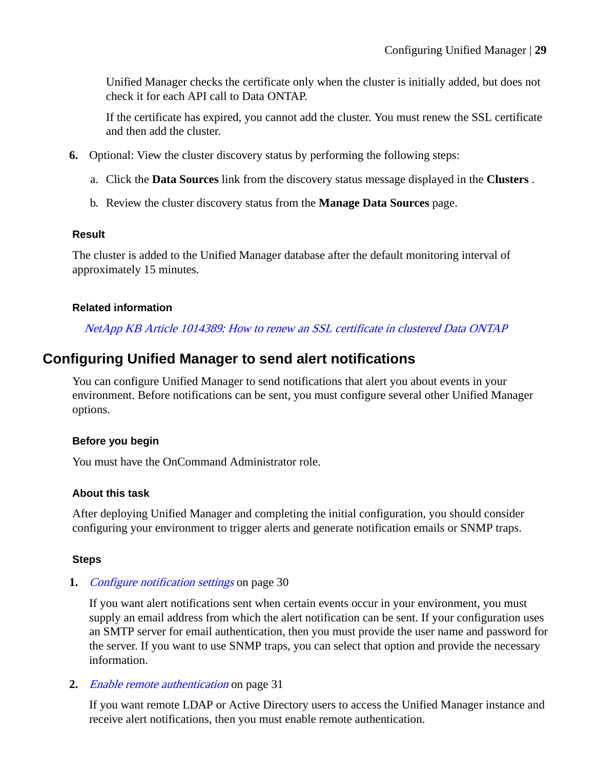<span id="page-28-0"></span>Unified Manager checks the certificate only when the cluster is initially added, but does not check it for each API call to Data ONTAP.

If the certificate has expired, you cannot add the cluster. You must renew the SSL certificate and then add the cluster.

- **6.** Optional: View the cluster discovery status by performing the following steps:
	- a. Click the **Data Sources** link from the discovery status message displayed in the **Clusters** .
	- b. Review the cluster discovery status from the **Manage Data Sources** page.

#### **Result**

The cluster is added to the Unified Manager database after the default monitoring interval of approximately 15 minutes.

#### **Related information**

[NetApp KB Article 1014389: How to renew an SSL certificate in clustered Data ONTAP](https://kb.netapp.com/support/index?page=content&id=1014389)

## **Configuring Unified Manager to send alert notifications**

You can configure Unified Manager to send notifications that alert you about events in your environment. Before notifications can be sent, you must configure several other Unified Manager options.

#### **Before you begin**

You must have the OnCommand Administrator role.

#### **About this task**

After deploying Unified Manager and completing the initial configuration, you should consider configuring your environment to trigger alerts and generate notification emails or SNMP traps.

#### **Steps**

**1.** [Configure notification settings](#page-29-0) on page 30

If you want alert notifications sent when certain events occur in your environment, you must supply an email address from which the alert notification can be sent. If your configuration uses an SMTP server for email authentication, then you must provide the user name and password for the server. If you want to use SNMP traps, you can select that option and provide the necessary information.

**2.** [Enable remote authentication](#page-30-0) on page 31

If you want remote LDAP or Active Directory users to access the Unified Manager instance and receive alert notifications, then you must enable remote authentication.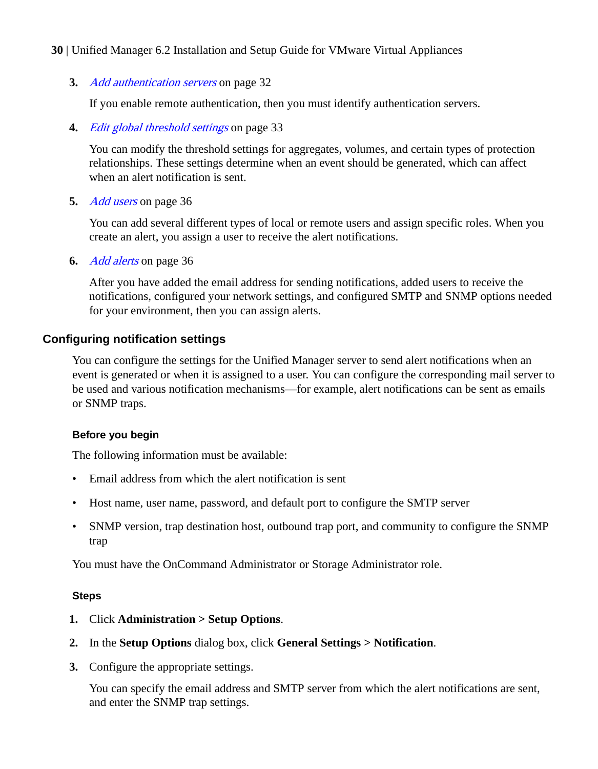<span id="page-29-0"></span>**3.** [Add authentication servers](#page-31-0) on page 32

If you enable remote authentication, then you must identify authentication servers.

**4.** [Edit global threshold settings](#page-32-0) on page 33

You can modify the threshold settings for aggregates, volumes, and certain types of protection relationships. These settings determine when an event should be generated, which can affect when an alert notification is sent.

**5.** [Add users](#page-35-0) on page 36

You can add several different types of local or remote users and assign specific roles. When you create an alert, you assign a user to receive the alert notifications.

**6.** [Add alerts](#page-35-0) on page 36

After you have added the email address for sending notifications, added users to receive the notifications, configured your network settings, and configured SMTP and SNMP options needed for your environment, then you can assign alerts.

#### **Configuring notification settings**

You can configure the settings for the Unified Manager server to send alert notifications when an event is generated or when it is assigned to a user. You can configure the corresponding mail server to be used and various notification mechanisms—for example, alert notifications can be sent as emails or SNMP traps.

#### **Before you begin**

The following information must be available:

- Email address from which the alert notification is sent
- Host name, user name, password, and default port to configure the SMTP server
- SNMP version, trap destination host, outbound trap port, and community to configure the SNMP trap

You must have the OnCommand Administrator or Storage Administrator role.

#### **Steps**

- **1.** Click **Administration > Setup Options**.
- **2.** In the **Setup Options** dialog box, click **General Settings > Notification**.
- **3.** Configure the appropriate settings.

You can specify the email address and SMTP server from which the alert notifications are sent, and enter the SNMP trap settings.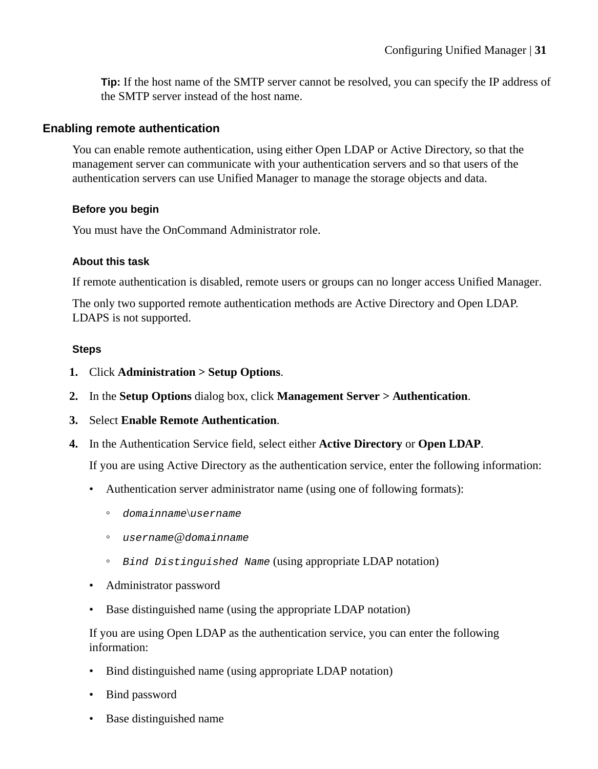<span id="page-30-0"></span>**Tip:** If the host name of the SMTP server cannot be resolved, you can specify the IP address of the SMTP server instead of the host name.

#### **Enabling remote authentication**

You can enable remote authentication, using either Open LDAP or Active Directory, so that the management server can communicate with your authentication servers and so that users of the authentication servers can use Unified Manager to manage the storage objects and data.

#### **Before you begin**

You must have the OnCommand Administrator role.

#### **About this task**

If remote authentication is disabled, remote users or groups can no longer access Unified Manager.

The only two supported remote authentication methods are Active Directory and Open LDAP. LDAPS is not supported.

#### **Steps**

- **1.** Click **Administration > Setup Options**.
- **2.** In the **Setup Options** dialog box, click **Management Server > Authentication**.
- **3.** Select **Enable Remote Authentication**.
- **4.** In the Authentication Service field, select either **Active Directory** or **Open LDAP**.

If you are using Active Directory as the authentication service, enter the following information:

- Authentication server administrator name (using one of following formats):
	- domainname\username
	- username@domainname
	- Bind Distinguished Name (using appropriate LDAP notation)
- Administrator password
- Base distinguished name (using the appropriate LDAP notation)

If you are using Open LDAP as the authentication service, you can enter the following information:

- Bind distinguished name (using appropriate LDAP notation)
- Bind password
- Base distinguished name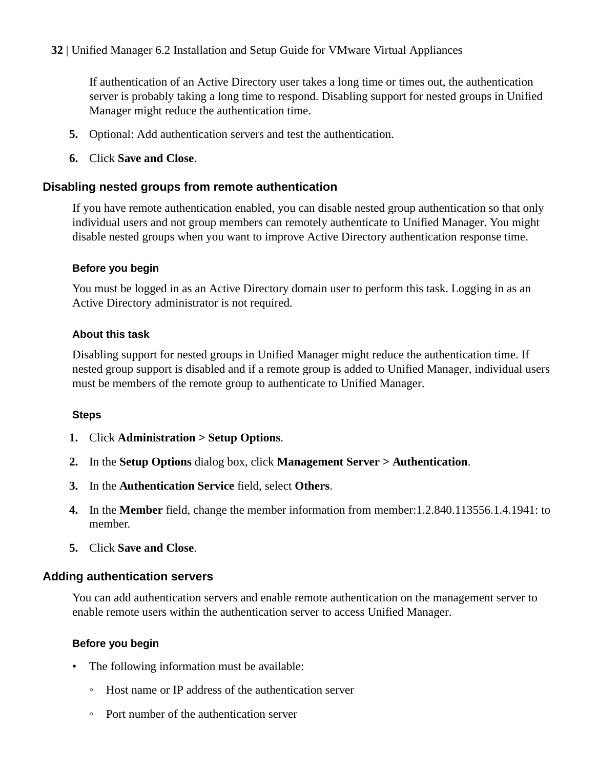<span id="page-31-0"></span>If authentication of an Active Directory user takes a long time or times out, the authentication server is probably taking a long time to respond. Disabling support for nested groups in Unified Manager might reduce the authentication time.

- **5.** Optional: Add authentication servers and test the authentication.
- **6.** Click **Save and Close**.

#### **Disabling nested groups from remote authentication**

If you have remote authentication enabled, you can disable nested group authentication so that only individual users and not group members can remotely authenticate to Unified Manager. You might disable nested groups when you want to improve Active Directory authentication response time.

#### **Before you begin**

You must be logged in as an Active Directory domain user to perform this task. Logging in as an Active Directory administrator is not required.

#### **About this task**

Disabling support for nested groups in Unified Manager might reduce the authentication time. If nested group support is disabled and if a remote group is added to Unified Manager, individual users must be members of the remote group to authenticate to Unified Manager.

#### **Steps**

- **1.** Click **Administration > Setup Options**.
- **2.** In the **Setup Options** dialog box, click **Management Server > Authentication**.
- **3.** In the **Authentication Service** field, select **Others**.
- **4.** In the **Member** field, change the member information from member:1.2.840.113556.1.4.1941: to member.
- **5.** Click **Save and Close**.

### **Adding authentication servers**

You can add authentication servers and enable remote authentication on the management server to enable remote users within the authentication server to access Unified Manager.

### **Before you begin**

- The following information must be available:
	- Host name or IP address of the authentication server
	- Port number of the authentication server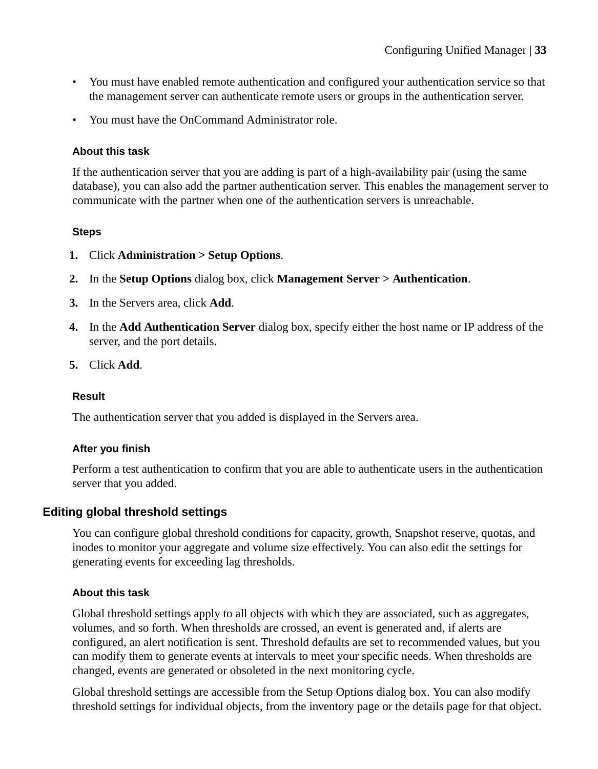- <span id="page-32-0"></span>• You must have enabled remote authentication and configured your authentication service so that the management server can authenticate remote users or groups in the authentication server.
- You must have the OnCommand Administrator role.

#### **About this task**

If the authentication server that you are adding is part of a high-availability pair (using the same database), you can also add the partner authentication server. This enables the management server to communicate with the partner when one of the authentication servers is unreachable.

#### **Steps**

- **1.** Click **Administration > Setup Options**.
- **2.** In the **Setup Options** dialog box, click **Management Server > Authentication**.
- **3.** In the Servers area, click **Add**.
- **4.** In the **Add Authentication Server** dialog box, specify either the host name or IP address of the server, and the port details.
- **5.** Click **Add**.

#### **Result**

The authentication server that you added is displayed in the Servers area.

#### **After you finish**

Perform a test authentication to confirm that you are able to authenticate users in the authentication server that you added.

#### **Editing global threshold settings**

You can configure global threshold conditions for capacity, growth, Snapshot reserve, quotas, and inodes to monitor your aggregate and volume size effectively. You can also edit the settings for generating events for exceeding lag thresholds.

#### **About this task**

Global threshold settings apply to all objects with which they are associated, such as aggregates, volumes, and so forth. When thresholds are crossed, an event is generated and, if alerts are configured, an alert notification is sent. Threshold defaults are set to recommended values, but you can modify them to generate events at intervals to meet your specific needs. When thresholds are changed, events are generated or obsoleted in the next monitoring cycle.

Global threshold settings are accessible from the Setup Options dialog box. You can also modify threshold settings for individual objects, from the inventory page or the details page for that object.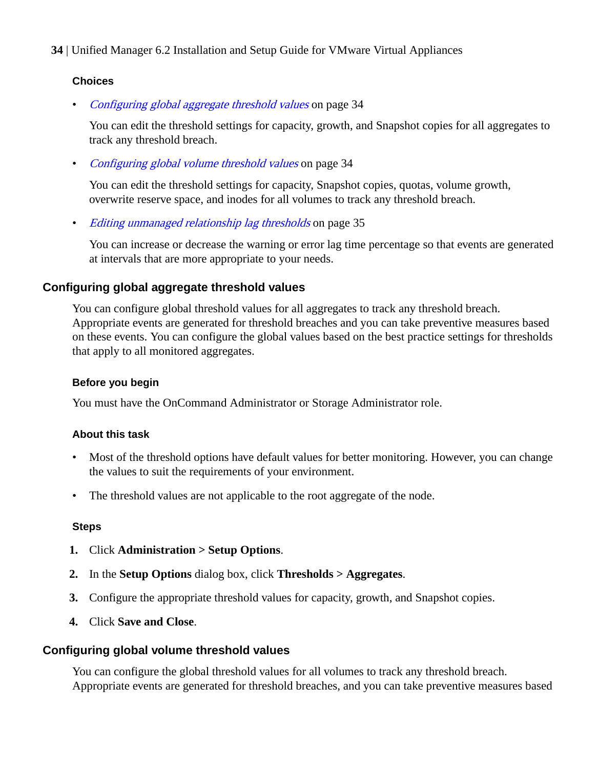#### <span id="page-33-0"></span>**Choices**

• *Configuring global aggregate threshold values* on page 34

You can edit the threshold settings for capacity, growth, and Snapshot copies for all aggregates to track any threshold breach.

• Configuring global volume threshold values on page 34

You can edit the threshold settings for capacity, Snapshot copies, quotas, volume growth, overwrite reserve space, and inodes for all volumes to track any threshold breach.

• [Editing unmanaged relationship lag thresholds](#page-34-0) on page 35

You can increase or decrease the warning or error lag time percentage so that events are generated at intervals that are more appropriate to your needs.

#### **Configuring global aggregate threshold values**

You can configure global threshold values for all aggregates to track any threshold breach. Appropriate events are generated for threshold breaches and you can take preventive measures based on these events. You can configure the global values based on the best practice settings for thresholds that apply to all monitored aggregates.

#### **Before you begin**

You must have the OnCommand Administrator or Storage Administrator role.

#### **About this task**

- Most of the threshold options have default values for better monitoring. However, you can change the values to suit the requirements of your environment.
- The threshold values are not applicable to the root aggregate of the node.

#### **Steps**

- **1.** Click **Administration > Setup Options**.
- **2.** In the **Setup Options** dialog box, click **Thresholds > Aggregates**.
- **3.** Configure the appropriate threshold values for capacity, growth, and Snapshot copies.
- **4.** Click **Save and Close**.

#### **Configuring global volume threshold values**

You can configure the global threshold values for all volumes to track any threshold breach. Appropriate events are generated for threshold breaches, and you can take preventive measures based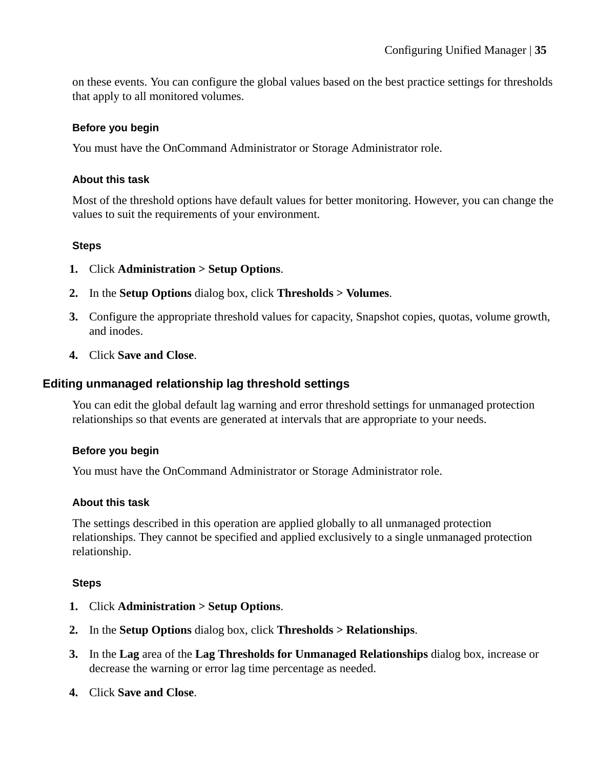<span id="page-34-0"></span>on these events. You can configure the global values based on the best practice settings for thresholds that apply to all monitored volumes.

#### **Before you begin**

You must have the OnCommand Administrator or Storage Administrator role.

#### **About this task**

Most of the threshold options have default values for better monitoring. However, you can change the values to suit the requirements of your environment.

#### **Steps**

- **1.** Click **Administration > Setup Options**.
- **2.** In the **Setup Options** dialog box, click **Thresholds > Volumes**.
- **3.** Configure the appropriate threshold values for capacity, Snapshot copies, quotas, volume growth, and inodes.
- **4.** Click **Save and Close**.

#### **Editing unmanaged relationship lag threshold settings**

You can edit the global default lag warning and error threshold settings for unmanaged protection relationships so that events are generated at intervals that are appropriate to your needs.

#### **Before you begin**

You must have the OnCommand Administrator or Storage Administrator role.

#### **About this task**

The settings described in this operation are applied globally to all unmanaged protection relationships. They cannot be specified and applied exclusively to a single unmanaged protection relationship.

#### **Steps**

- **1.** Click **Administration > Setup Options**.
- **2.** In the **Setup Options** dialog box, click **Thresholds > Relationships**.
- **3.** In the **Lag** area of the **Lag Thresholds for Unmanaged Relationships** dialog box, increase or decrease the warning or error lag time percentage as needed.
- **4.** Click **Save and Close**.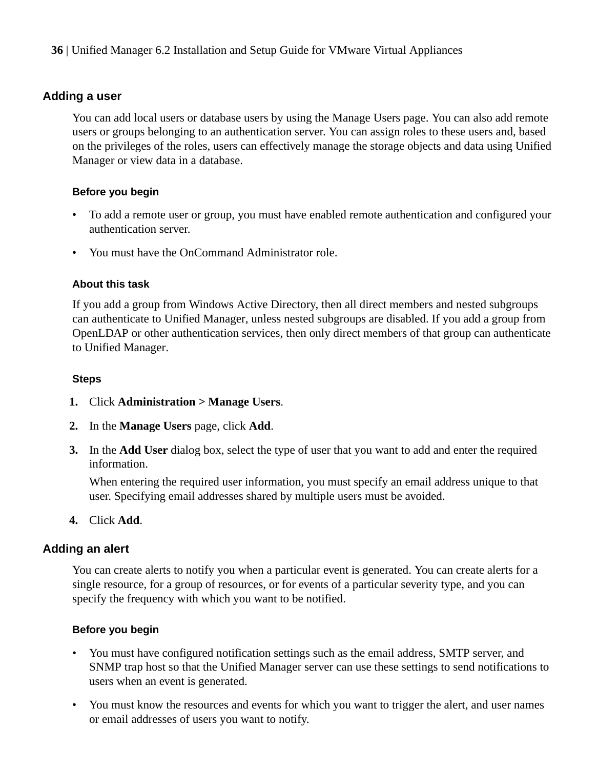#### <span id="page-35-0"></span>**Adding a user**

You can add local users or database users by using the Manage Users page. You can also add remote users or groups belonging to an authentication server. You can assign roles to these users and, based on the privileges of the roles, users can effectively manage the storage objects and data using Unified Manager or view data in a database.

#### **Before you begin**

- To add a remote user or group, you must have enabled remote authentication and configured your authentication server.
- You must have the OnCommand Administrator role.

#### **About this task**

If you add a group from Windows Active Directory, then all direct members and nested subgroups can authenticate to Unified Manager, unless nested subgroups are disabled. If you add a group from OpenLDAP or other authentication services, then only direct members of that group can authenticate to Unified Manager.

#### **Steps**

- **1.** Click **Administration > Manage Users**.
- **2.** In the **Manage Users** page, click **Add**.
- **3.** In the **Add User** dialog box, select the type of user that you want to add and enter the required information.

When entering the required user information, you must specify an email address unique to that user. Specifying email addresses shared by multiple users must be avoided.

**4.** Click **Add**.

#### **Adding an alert**

You can create alerts to notify you when a particular event is generated. You can create alerts for a single resource, for a group of resources, or for events of a particular severity type, and you can specify the frequency with which you want to be notified.

#### **Before you begin**

- You must have configured notification settings such as the email address, SMTP server, and SNMP trap host so that the Unified Manager server can use these settings to send notifications to users when an event is generated.
- You must know the resources and events for which you want to trigger the alert, and user names or email addresses of users you want to notify.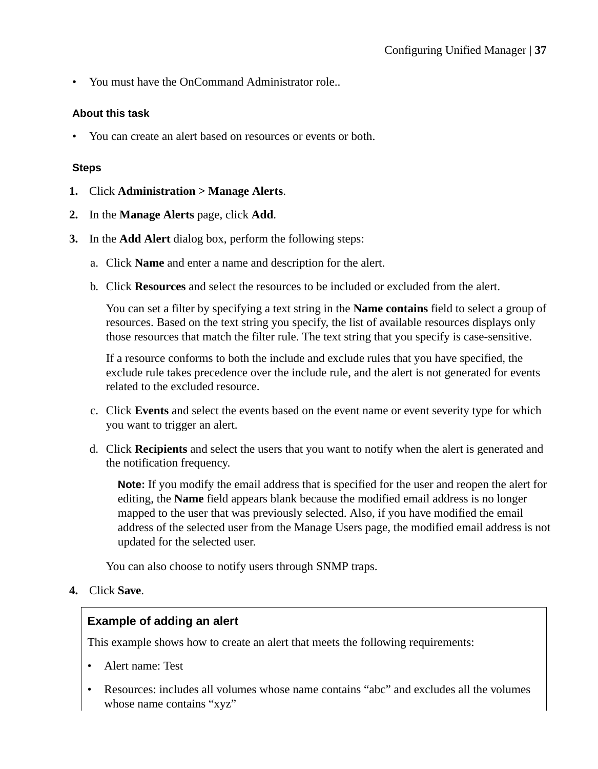• You must have the OnCommand Administrator role..

#### **About this task**

• You can create an alert based on resources or events or both.

#### **Steps**

- **1.** Click **Administration > Manage Alerts**.
- **2.** In the **Manage Alerts** page, click **Add**.
- **3.** In the **Add Alert** dialog box, perform the following steps:
	- a. Click **Name** and enter a name and description for the alert.
	- b. Click **Resources** and select the resources to be included or excluded from the alert.

You can set a filter by specifying a text string in the **Name contains** field to select a group of resources. Based on the text string you specify, the list of available resources displays only those resources that match the filter rule. The text string that you specify is case-sensitive.

If a resource conforms to both the include and exclude rules that you have specified, the exclude rule takes precedence over the include rule, and the alert is not generated for events related to the excluded resource.

- c. Click **Events** and select the events based on the event name or event severity type for which you want to trigger an alert.
- d. Click **Recipients** and select the users that you want to notify when the alert is generated and the notification frequency.

**Note:** If you modify the email address that is specified for the user and reopen the alert for editing, the **Name** field appears blank because the modified email address is no longer mapped to the user that was previously selected. Also, if you have modified the email address of the selected user from the Manage Users page, the modified email address is not updated for the selected user.

You can also choose to notify users through SNMP traps.

#### **4.** Click **Save**.

#### **Example of adding an alert**

This example shows how to create an alert that meets the following requirements:

- Alert name: Test
- Resources: includes all volumes whose name contains "abc" and excludes all the volumes whose name contains "xyz"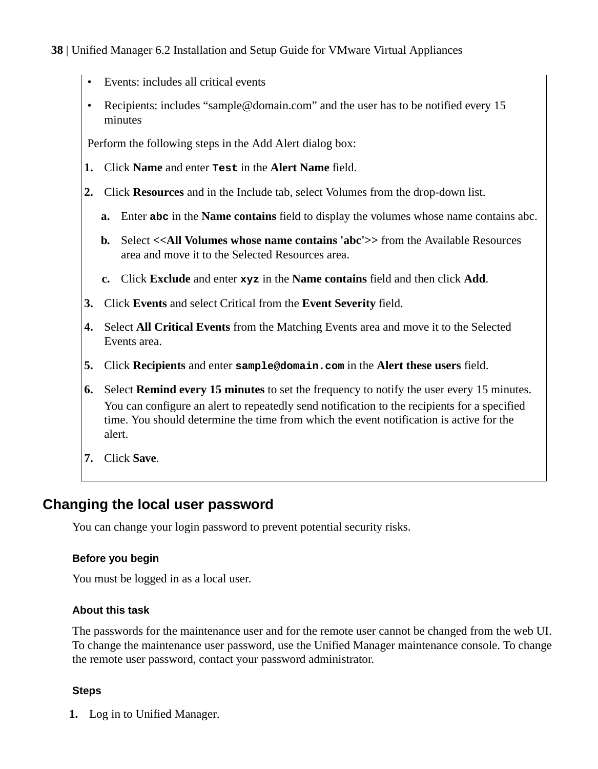- <span id="page-37-0"></span>Events: includes all critical events
- Recipients: includes "sample@domain.com" and the user has to be notified every 15 minutes

Perform the following steps in the Add Alert dialog box:

- **1.** Click **Name** and enter **Test** in the **Alert Name** field.
- **2.** Click **Resources** and in the Include tab, select Volumes from the drop-down list.
	- **a.** Enter **abc** in the **Name contains** field to display the volumes whose name contains abc.
	- **b.** Select **<<All Volumes whose name contains 'abc'>>** from the Available Resources area and move it to the Selected Resources area.
	- **c.** Click **Exclude** and enter **xyz** in the **Name contains** field and then click **Add**.
- **3.** Click **Events** and select Critical from the **Event Severity** field.
- **4.** Select **All Critical Events** from the Matching Events area and move it to the Selected Events area.
- **5.** Click **Recipients** and enter **sample@domain.com** in the **Alert these users** field.
- **6.** Select **Remind every 15 minutes** to set the frequency to notify the user every 15 minutes. You can configure an alert to repeatedly send notification to the recipients for a specified time. You should determine the time from which the event notification is active for the alert.
- **7.** Click **Save**.

## **Changing the local user password**

You can change your login password to prevent potential security risks.

#### **Before you begin**

You must be logged in as a local user.

#### **About this task**

The passwords for the maintenance user and for the remote user cannot be changed from the web UI. To change the maintenance user password, use the Unified Manager maintenance console. To change the remote user password, contact your password administrator.

#### **Steps**

**1.** Log in to Unified Manager.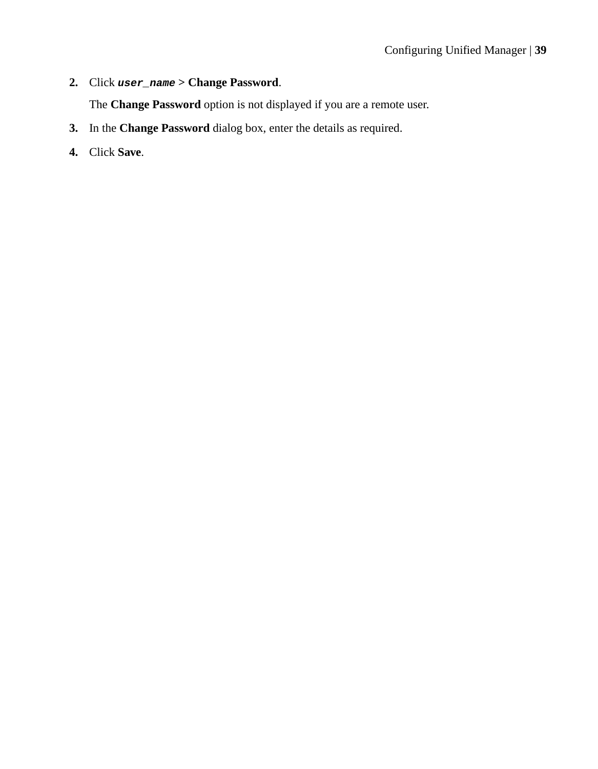**2.** Click **user\_name > Change Password**.

The **Change Password** option is not displayed if you are a remote user.

- **3.** In the **Change Password** dialog box, enter the details as required.
- **4.** Click **Save**.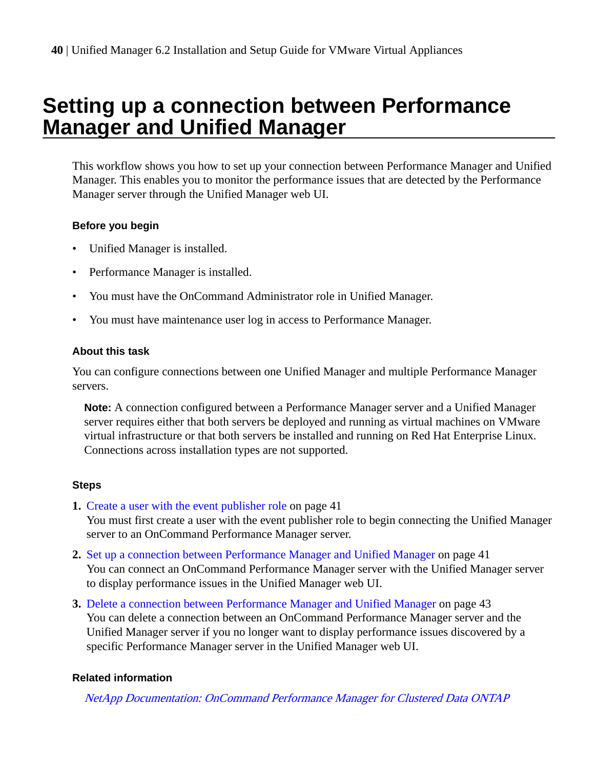# <span id="page-39-0"></span>**Setting up a connection between Performance Manager and Unified Manager**

This workflow shows you how to set up your connection between Performance Manager and Unified Manager. This enables you to monitor the performance issues that are detected by the Performance Manager server through the Unified Manager web UI.

#### **Before you begin**

- Unified Manager is installed.
- Performance Manager is installed.
- You must have the OnCommand Administrator role in Unified Manager.
- You must have maintenance user log in access to Performance Manager.

#### **About this task**

You can configure connections between one Unified Manager and multiple Performance Manager servers.

**Note:** A connection configured between a Performance Manager server and a Unified Manager server requires either that both servers be deployed and running as virtual machines on VMware virtual infrastructure or that both servers be installed and running on Red Hat Enterprise Linux. Connections across installation types are not supported.

#### **Steps**

**1.** [Create a user with the event publisher role](#page-40-0) on page 41

You must first create a user with the event publisher role to begin connecting the Unified Manager server to an OnCommand Performance Manager server.

- **2.** [Set up a connection between Performance Manager and Unified Manager](#page-40-0) on page 41 You can connect an OnCommand Performance Manager server with the Unified Manager server to display performance issues in the Unified Manager web UI.
- **3.** [Delete a connection between Performance Manager and Unified Manager](#page-42-0) on page 43 You can delete a connection between an OnCommand Performance Manager server and the Unified Manager server if you no longer want to display performance issues discovered by a specific Performance Manager server in the Unified Manager web UI.

#### **Related information**

[NetApp Documentation: OnCommand Performance Manager for Clustered Data ONTAP](http://mysupport.netapp.com/documentation/docweb/index.html?productID=61811)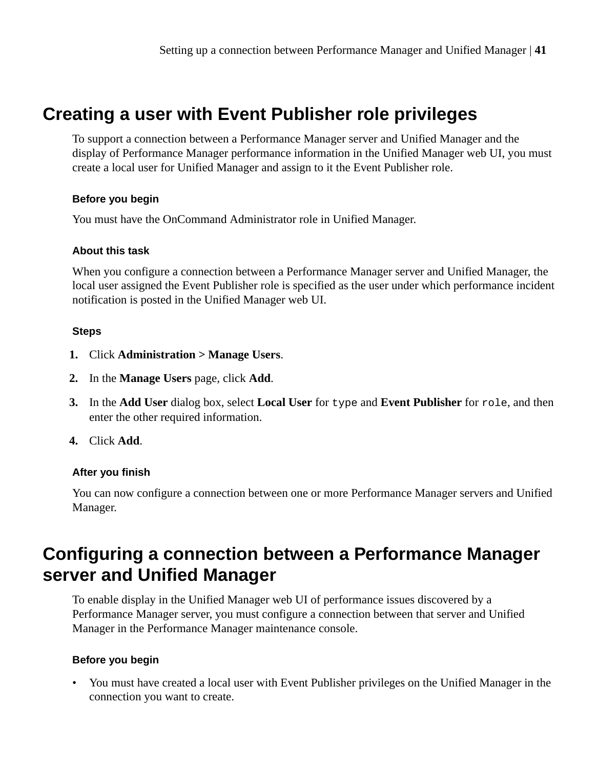# <span id="page-40-0"></span>**Creating a user with Event Publisher role privileges**

To support a connection between a Performance Manager server and Unified Manager and the display of Performance Manager performance information in the Unified Manager web UI, you must create a local user for Unified Manager and assign to it the Event Publisher role.

#### **Before you begin**

You must have the OnCommand Administrator role in Unified Manager.

#### **About this task**

When you configure a connection between a Performance Manager server and Unified Manager, the local user assigned the Event Publisher role is specified as the user under which performance incident notification is posted in the Unified Manager web UI.

#### **Steps**

- **1.** Click **Administration > Manage Users**.
- **2.** In the **Manage Users** page, click **Add**.
- **3.** In the **Add User** dialog box, select **Local User** for type and **Event Publisher** for role, and then enter the other required information.
- **4.** Click **Add**.

#### **After you finish**

You can now configure a connection between one or more Performance Manager servers and Unified Manager.

# **Configuring a connection between a Performance Manager server and Unified Manager**

To enable display in the Unified Manager web UI of performance issues discovered by a Performance Manager server, you must configure a connection between that server and Unified Manager in the Performance Manager maintenance console.

#### **Before you begin**

• You must have created a local user with Event Publisher privileges on the Unified Manager in the connection you want to create.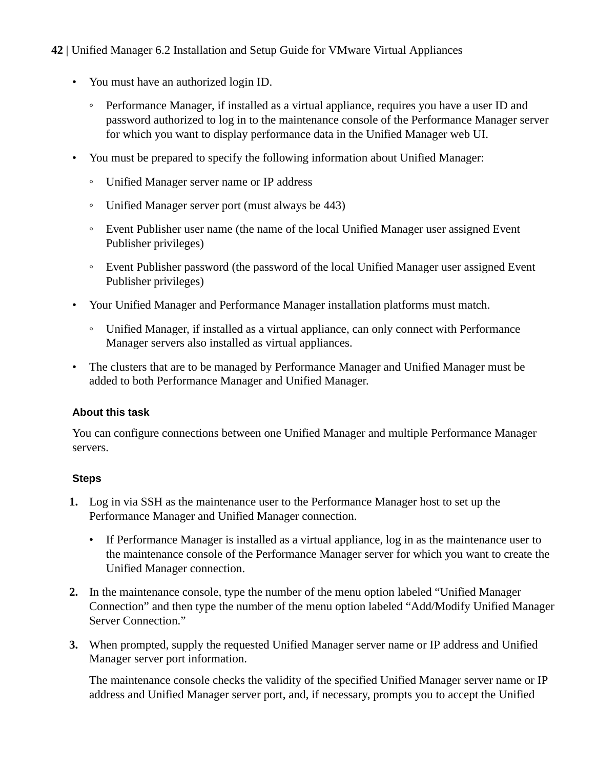- You must have an authorized login ID.
	- Performance Manager, if installed as a virtual appliance, requires you have a user ID and password authorized to log in to the maintenance console of the Performance Manager server for which you want to display performance data in the Unified Manager web UI.
- You must be prepared to specify the following information about Unified Manager:
	- Unified Manager server name or IP address
	- Unified Manager server port (must always be 443)
	- Event Publisher user name (the name of the local Unified Manager user assigned Event Publisher privileges)
	- Event Publisher password (the password of the local Unified Manager user assigned Event Publisher privileges)
- Your Unified Manager and Performance Manager installation platforms must match.
	- Unified Manager, if installed as a virtual appliance, can only connect with Performance Manager servers also installed as virtual appliances.
- The clusters that are to be managed by Performance Manager and Unified Manager must be added to both Performance Manager and Unified Manager.

#### **About this task**

You can configure connections between one Unified Manager and multiple Performance Manager servers.

#### **Steps**

- **1.** Log in via SSH as the maintenance user to the Performance Manager host to set up the Performance Manager and Unified Manager connection.
	- If Performance Manager is installed as a virtual appliance, log in as the maintenance user to the maintenance console of the Performance Manager server for which you want to create the Unified Manager connection.
- **2.** In the maintenance console, type the number of the menu option labeled "Unified Manager Connection" and then type the number of the menu option labeled "Add/Modify Unified Manager Server Connection."
- **3.** When prompted, supply the requested Unified Manager server name or IP address and Unified Manager server port information.

The maintenance console checks the validity of the specified Unified Manager server name or IP address and Unified Manager server port, and, if necessary, prompts you to accept the Unified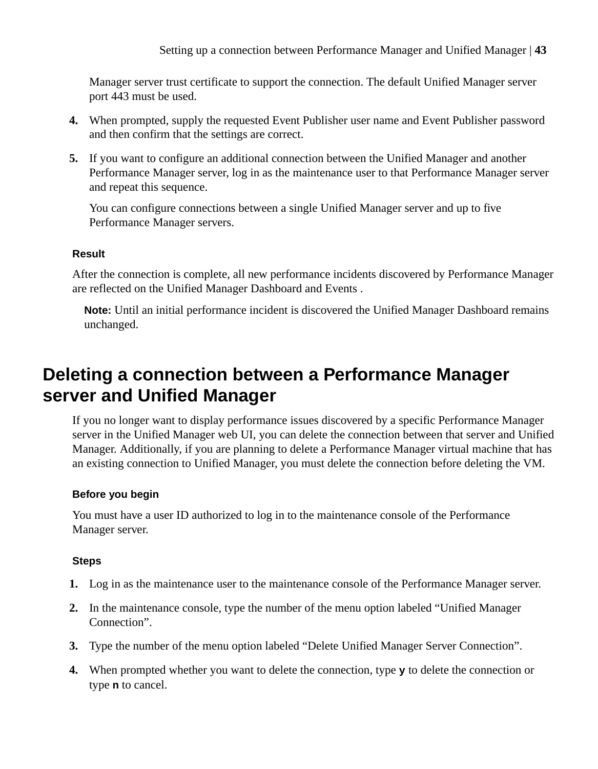<span id="page-42-0"></span>Manager server trust certificate to support the connection. The default Unified Manager server port 443 must be used.

- **4.** When prompted, supply the requested Event Publisher user name and Event Publisher password and then confirm that the settings are correct.
- **5.** If you want to configure an additional connection between the Unified Manager and another Performance Manager server, log in as the maintenance user to that Performance Manager server and repeat this sequence.

You can configure connections between a single Unified Manager server and up to five Performance Manager servers.

#### **Result**

After the connection is complete, all new performance incidents discovered by Performance Manager are reflected on the Unified Manager Dashboard and Events .

**Note:** Until an initial performance incident is discovered the Unified Manager Dashboard remains unchanged.

# **Deleting a connection between a Performance Manager server and Unified Manager**

If you no longer want to display performance issues discovered by a specific Performance Manager server in the Unified Manager web UI, you can delete the connection between that server and Unified Manager. Additionally, if you are planning to delete a Performance Manager virtual machine that has an existing connection to Unified Manager, you must delete the connection before deleting the VM.

#### **Before you begin**

You must have a user ID authorized to log in to the maintenance console of the Performance Manager server.

#### **Steps**

- **1.** Log in as the maintenance user to the maintenance console of the Performance Manager server.
- **2.** In the maintenance console, type the number of the menu option labeled "Unified Manager Connection".
- **3.** Type the number of the menu option labeled "Delete Unified Manager Server Connection".
- **4.** When prompted whether you want to delete the connection, type **y** to delete the connection or type **n** to cancel.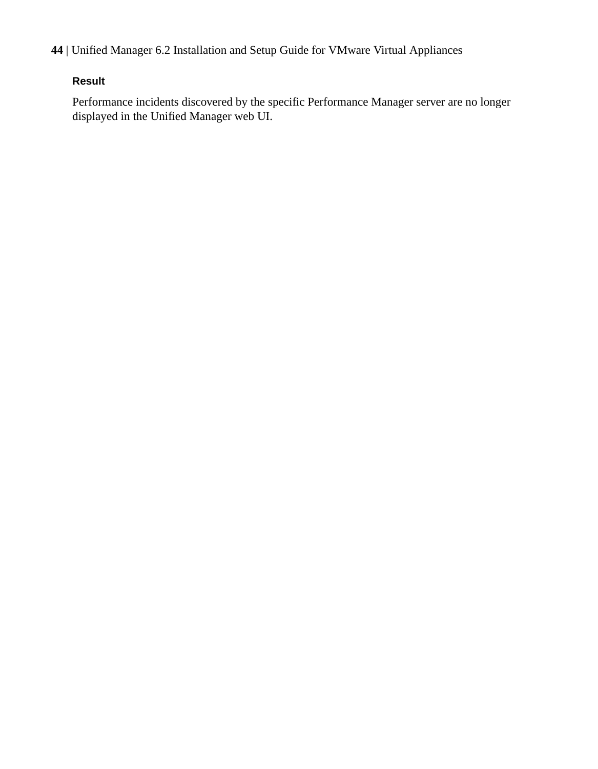#### **Result**

Performance incidents discovered by the specific Performance Manager server are no longer displayed in the Unified Manager web UI.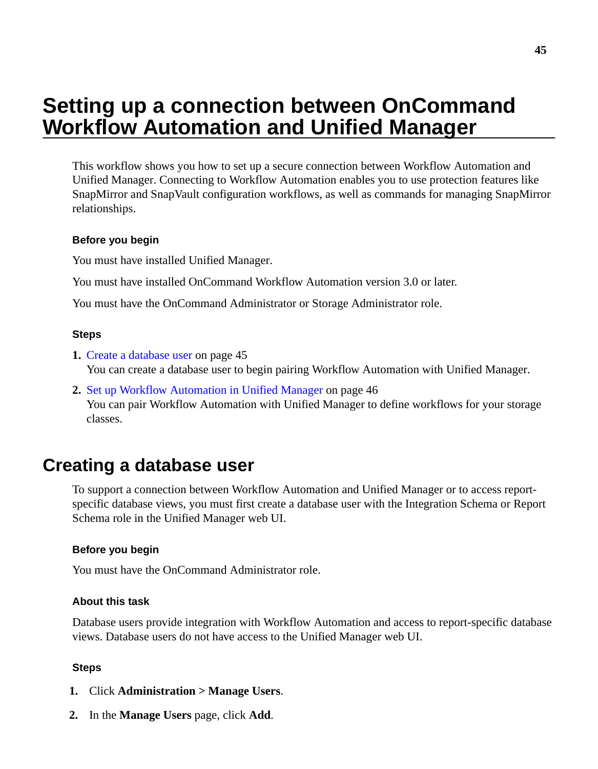# <span id="page-44-0"></span>**Setting up a connection between OnCommand Workflow Automation and Unified Manager**

This workflow shows you how to set up a secure connection between Workflow Automation and Unified Manager. Connecting to Workflow Automation enables you to use protection features like SnapMirror and SnapVault configuration workflows, as well as commands for managing SnapMirror relationships.

#### **Before you begin**

You must have installed Unified Manager.

You must have installed OnCommand Workflow Automation version 3.0 or later.

You must have the OnCommand Administrator or Storage Administrator role.

#### **Steps**

- **1.** Create a database user on page 45 You can create a database user to begin pairing Workflow Automation with Unified Manager.
- **2.** [Set up Workflow Automation in Unified Manager](#page-45-0) on page 46 You can pair Workflow Automation with Unified Manager to define workflows for your storage classes.

## **Creating a database user**

To support a connection between Workflow Automation and Unified Manager or to access reportspecific database views, you must first create a database user with the Integration Schema or Report Schema role in the Unified Manager web UI.

#### **Before you begin**

You must have the OnCommand Administrator role.

#### **About this task**

Database users provide integration with Workflow Automation and access to report-specific database views. Database users do not have access to the Unified Manager web UI.

#### **Steps**

- **1.** Click **Administration > Manage Users**.
- **2.** In the **Manage Users** page, click **Add**.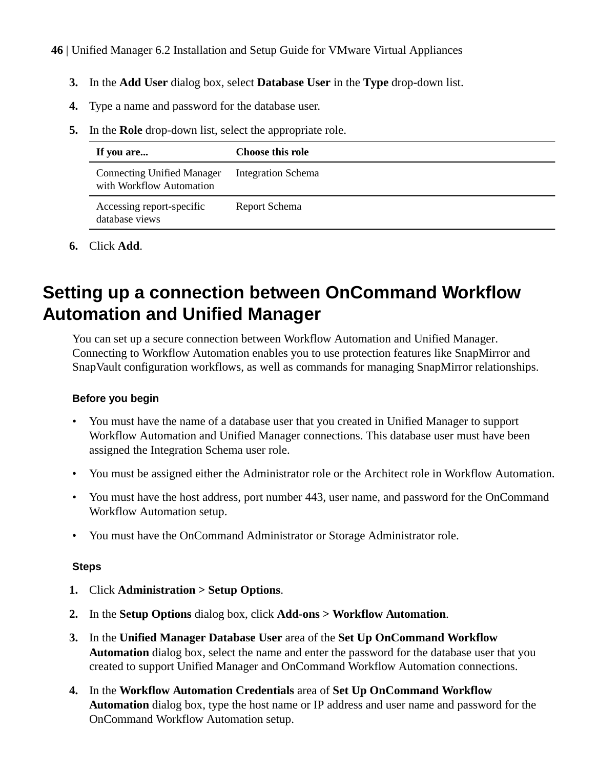- <span id="page-45-0"></span>**3.** In the **Add User** dialog box, select **Database User** in the **Type** drop-down list.
- **4.** Type a name and password for the database user.
- **5.** In the **Role** drop-down list, select the appropriate role.

| If you are                                                    | <b>Choose this role</b>   |
|---------------------------------------------------------------|---------------------------|
| <b>Connecting Unified Manager</b><br>with Workflow Automation | <b>Integration Schema</b> |
| Accessing report-specific<br>database views                   | Report Schema             |

**6.** Click **Add**.

# **Setting up a connection between OnCommand Workflow Automation and Unified Manager**

You can set up a secure connection between Workflow Automation and Unified Manager. Connecting to Workflow Automation enables you to use protection features like SnapMirror and SnapVault configuration workflows, as well as commands for managing SnapMirror relationships.

#### **Before you begin**

- You must have the name of a database user that you created in Unified Manager to support Workflow Automation and Unified Manager connections. This database user must have been assigned the Integration Schema user role.
- You must be assigned either the Administrator role or the Architect role in Workflow Automation.
- You must have the host address, port number 443, user name, and password for the OnCommand Workflow Automation setup.
- You must have the OnCommand Administrator or Storage Administrator role.

#### **Steps**

- **1.** Click **Administration > Setup Options**.
- **2.** In the **Setup Options** dialog box, click **Add-ons > Workflow Automation**.
- **3.** In the **Unified Manager Database User** area of the **Set Up OnCommand Workflow Automation** dialog box, select the name and enter the password for the database user that you created to support Unified Manager and OnCommand Workflow Automation connections.
- **4.** In the **Workflow Automation Credentials** area of **Set Up OnCommand Workflow Automation** dialog box, type the host name or IP address and user name and password for the OnCommand Workflow Automation setup.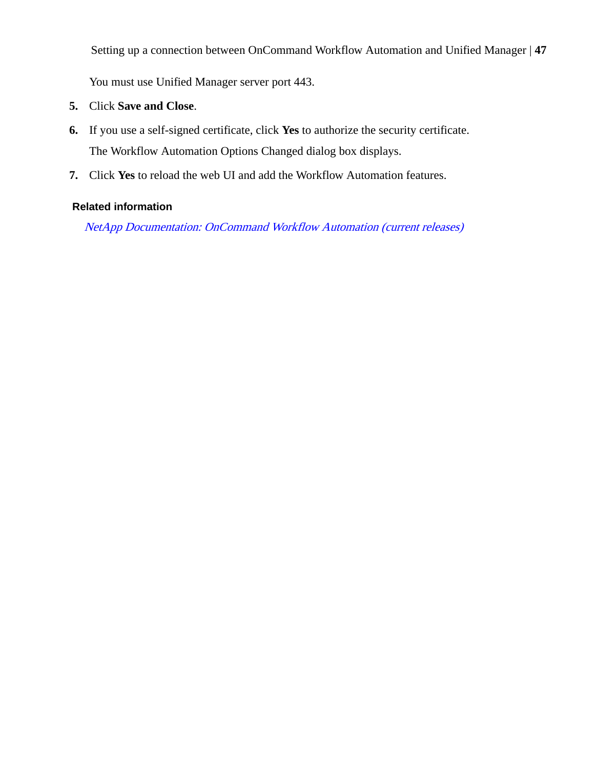Setting up a connection between OnCommand Workflow Automation and Unified Manager | **47**

You must use Unified Manager server port 443.

- **5.** Click **Save and Close**.
- **6.** If you use a self-signed certificate, click **Yes** to authorize the security certificate. The Workflow Automation Options Changed dialog box displays.
- **7.** Click **Yes** to reload the web UI and add the Workflow Automation features.

#### **Related information**

[NetApp Documentation: OnCommand Workflow Automation \(current releases\)](http://mysupport.netapp.com/documentation/productlibrary/index.html?productID=61550)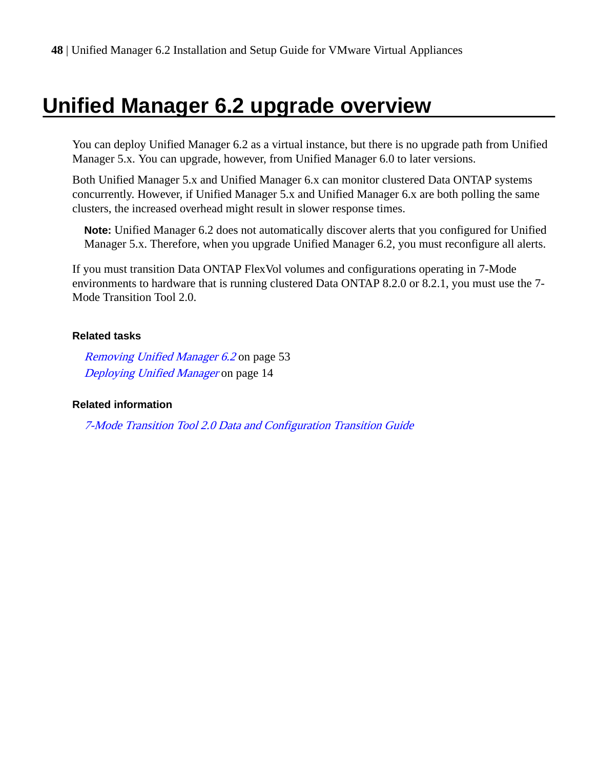# <span id="page-47-0"></span>**Unified Manager 6.2 upgrade overview**

You can deploy Unified Manager 6.2 as a virtual instance, but there is no upgrade path from Unified Manager 5.x. You can upgrade, however, from Unified Manager 6.0 to later versions.

Both Unified Manager 5.x and Unified Manager 6.x can monitor clustered Data ONTAP systems concurrently. However, if Unified Manager 5.x and Unified Manager 6.x are both polling the same clusters, the increased overhead might result in slower response times.

**Note:** Unified Manager 6.2 does not automatically discover alerts that you configured for Unified Manager 5.x. Therefore, when you upgrade Unified Manager 6.2, you must reconfigure all alerts.

If you must transition Data ONTAP FlexVol volumes and configurations operating in 7-Mode environments to hardware that is running clustered Data ONTAP 8.2.0 or 8.2.1, you must use the 7- Mode Transition Tool 2.0.

#### **Related tasks**

[Removing Unified Manager 6.2](#page-52-0) on page 53 [Deploying Unified Manager](#page-13-0) on page 14

#### **Related information**

[7-Mode Transition Tool 2.0 Data and Configuration Transition Guide](https://library.netapp.com/ecm/ecm_download_file/ECMP1659110)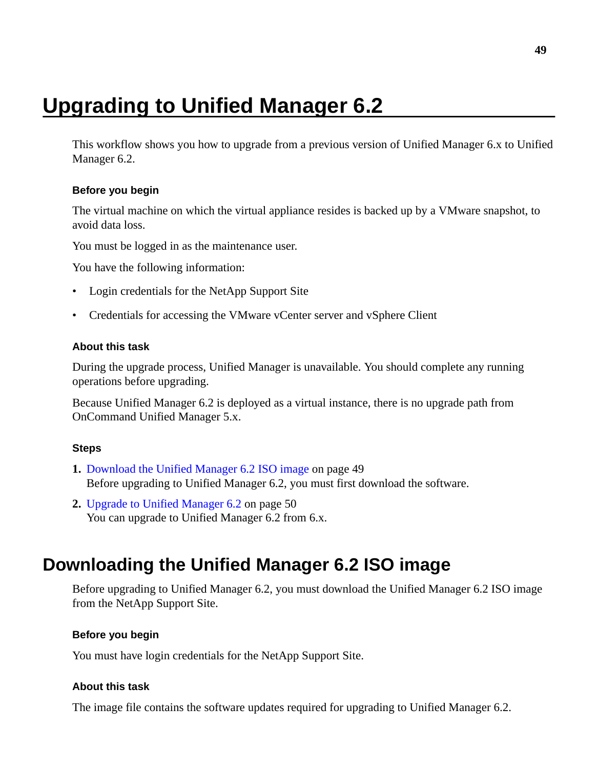# <span id="page-48-0"></span>**Upgrading to Unified Manager 6.2**

This workflow shows you how to upgrade from a previous version of Unified Manager 6.x to Unified Manager 6.2.

#### **Before you begin**

The virtual machine on which the virtual appliance resides is backed up by a VMware snapshot, to avoid data loss.

You must be logged in as the maintenance user.

You have the following information:

- Login credentials for the NetApp Support Site
- Credentials for accessing the VMware vCenter server and vSphere Client

#### **About this task**

During the upgrade process, Unified Manager is unavailable. You should complete any running operations before upgrading.

Because Unified Manager 6.2 is deployed as a virtual instance, there is no upgrade path from OnCommand Unified Manager 5.x.

#### **Steps**

- **1.** Download the Unified Manager 6.2 ISO image on page 49 Before upgrading to Unified Manager 6.2, you must first download the software.
- **2.** [Upgrade to Unified Manager 6.2](#page-49-0) on page 50 You can upgrade to Unified Manager 6.2 from 6.x.

## **Downloading the Unified Manager 6.2 ISO image**

Before upgrading to Unified Manager 6.2, you must download the Unified Manager 6.2 ISO image from the NetApp Support Site.

#### **Before you begin**

You must have login credentials for the NetApp Support Site.

#### **About this task**

The image file contains the software updates required for upgrading to Unified Manager 6.2.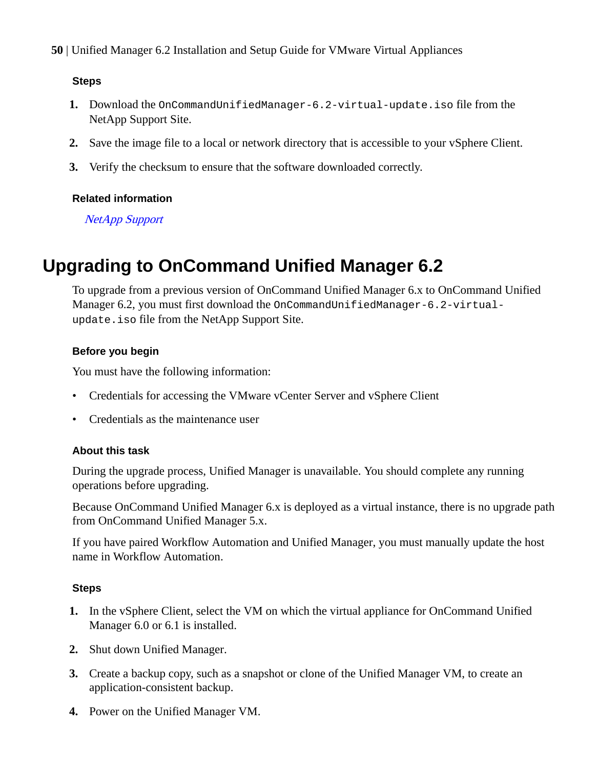#### <span id="page-49-0"></span>**Steps**

- **1.** Download the OnCommandUnifiedManager-6.2-virtual-update.iso file from the NetApp Support Site.
- **2.** Save the image file to a local or network directory that is accessible to your vSphere Client.
- **3.** Verify the checksum to ensure that the software downloaded correctly.

#### **Related information**

[NetApp Support](http://mysupport.netapp.com)

## **Upgrading to OnCommand Unified Manager 6.2**

To upgrade from a previous version of OnCommand Unified Manager 6.x to OnCommand Unified Manager 6.2, you must first download the OnCommandUnifiedManager-6.2-virtualupdate.iso file from the NetApp Support Site.

#### **Before you begin**

You must have the following information:

- Credentials for accessing the VMware vCenter Server and vSphere Client
- Credentials as the maintenance user

#### **About this task**

During the upgrade process, Unified Manager is unavailable. You should complete any running operations before upgrading.

Because OnCommand Unified Manager 6.x is deployed as a virtual instance, there is no upgrade path from OnCommand Unified Manager 5.x.

If you have paired Workflow Automation and Unified Manager, you must manually update the host name in Workflow Automation.

#### **Steps**

- **1.** In the vSphere Client, select the VM on which the virtual appliance for OnCommand Unified Manager 6.0 or 6.1 is installed.
- **2.** Shut down Unified Manager.
- **3.** Create a backup copy, such as a snapshot or clone of the Unified Manager VM, to create an application-consistent backup.
- **4.** Power on the Unified Manager VM.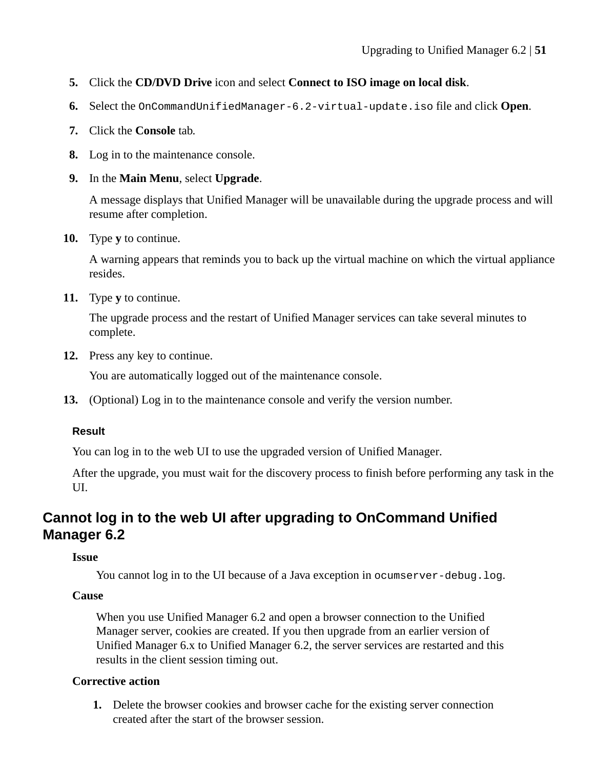- <span id="page-50-0"></span>**5.** Click the **CD/DVD Drive** icon and select **Connect to ISO image on local disk**.
- **6.** Select the OnCommandUnifiedManager-6.2-virtual-update.iso file and click **Open**.
- **7.** Click the **Console** tab.
- **8.** Log in to the maintenance console.
- **9.** In the **Main Menu**, select **Upgrade**.

A message displays that Unified Manager will be unavailable during the upgrade process and will resume after completion.

**10.** Type **y** to continue.

A warning appears that reminds you to back up the virtual machine on which the virtual appliance resides.

**11.** Type **y** to continue.

The upgrade process and the restart of Unified Manager services can take several minutes to complete.

**12.** Press any key to continue.

You are automatically logged out of the maintenance console.

**13.** (Optional) Log in to the maintenance console and verify the version number.

#### **Result**

You can log in to the web UI to use the upgraded version of Unified Manager.

After the upgrade, you must wait for the discovery process to finish before performing any task in the UI.

## **Cannot log in to the web UI after upgrading to OnCommand Unified Manager 6.2**

#### **Issue**

You cannot log in to the UI because of a Java exception in ocumserver-debug. log.

#### **Cause**

When you use Unified Manager 6.2 and open a browser connection to the Unified Manager server, cookies are created. If you then upgrade from an earlier version of Unified Manager 6.x to Unified Manager 6.2, the server services are restarted and this results in the client session timing out.

#### **Corrective action**

**1.** Delete the browser cookies and browser cache for the existing server connection created after the start of the browser session.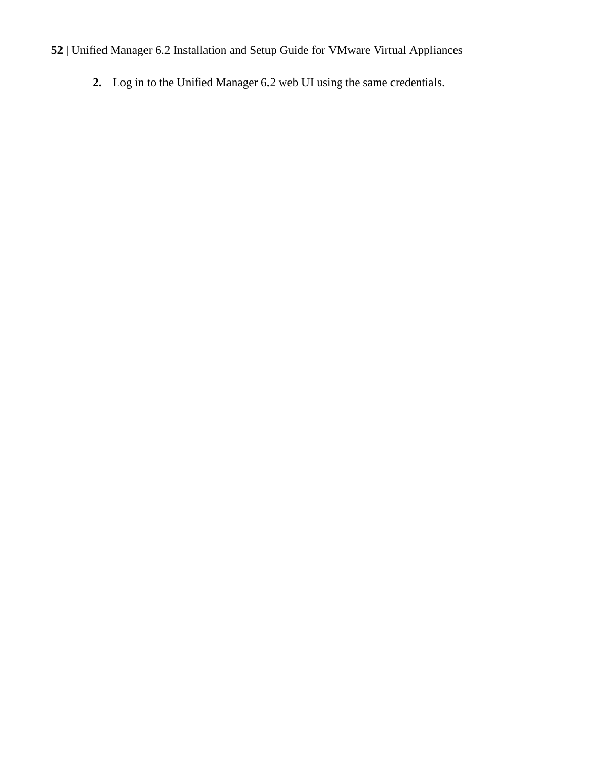**2.** Log in to the Unified Manager 6.2 web UI using the same credentials.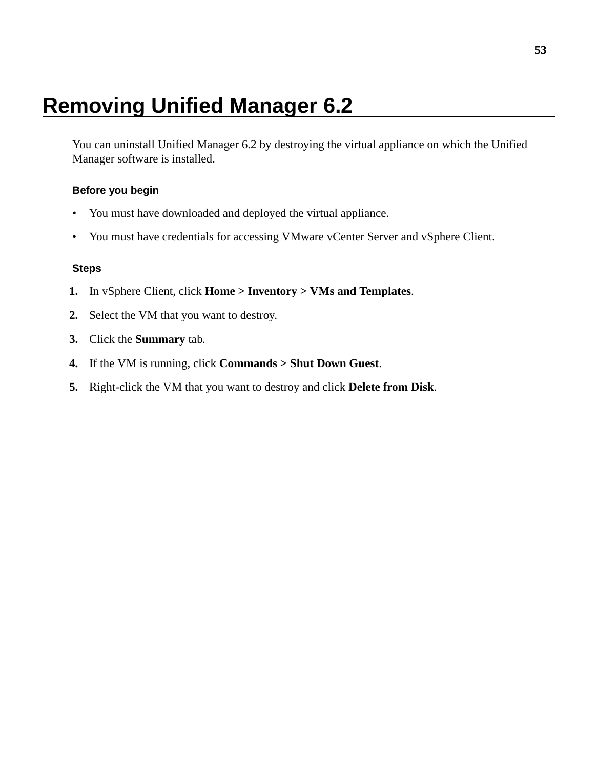# <span id="page-52-0"></span>**Removing Unified Manager 6.2**

You can uninstall Unified Manager 6.2 by destroying the virtual appliance on which the Unified Manager software is installed.

#### **Before you begin**

- You must have downloaded and deployed the virtual appliance.
- You must have credentials for accessing VMware vCenter Server and vSphere Client.

#### **Steps**

- **1.** In vSphere Client, click **Home > Inventory > VMs and Templates**.
- **2.** Select the VM that you want to destroy.
- **3.** Click the **Summary** tab.
- **4.** If the VM is running, click **Commands > Shut Down Guest**.
- **5.** Right-click the VM that you want to destroy and click **Delete from Disk**.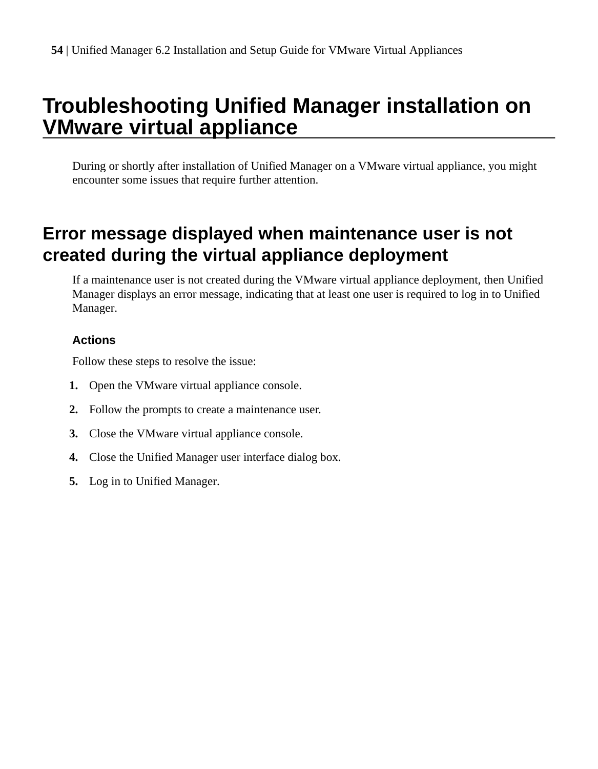# <span id="page-53-0"></span>**Troubleshooting Unified Manager installation on VMware virtual appliance**

During or shortly after installation of Unified Manager on a VMware virtual appliance, you might encounter some issues that require further attention.

# **Error message displayed when maintenance user is not created during the virtual appliance deployment**

If a maintenance user is not created during the VMware virtual appliance deployment, then Unified Manager displays an error message, indicating that at least one user is required to log in to Unified Manager.

#### **Actions**

Follow these steps to resolve the issue:

- **1.** Open the VMware virtual appliance console.
- **2.** Follow the prompts to create a maintenance user.
- **3.** Close the VMware virtual appliance console.
- **4.** Close the Unified Manager user interface dialog box.
- **5.** Log in to Unified Manager.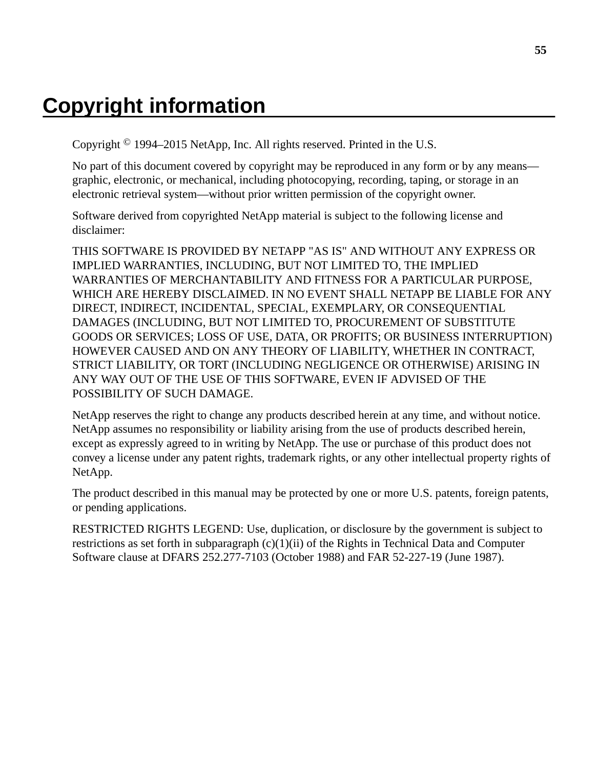# <span id="page-54-0"></span>**Copyright information**

Copyright © 1994–2015 NetApp, Inc. All rights reserved. Printed in the U.S.

No part of this document covered by copyright may be reproduced in any form or by any means graphic, electronic, or mechanical, including photocopying, recording, taping, or storage in an electronic retrieval system—without prior written permission of the copyright owner.

Software derived from copyrighted NetApp material is subject to the following license and disclaimer:

THIS SOFTWARE IS PROVIDED BY NETAPP "AS IS" AND WITHOUT ANY EXPRESS OR IMPLIED WARRANTIES, INCLUDING, BUT NOT LIMITED TO, THE IMPLIED WARRANTIES OF MERCHANTABILITY AND FITNESS FOR A PARTICULAR PURPOSE, WHICH ARE HEREBY DISCLAIMED. IN NO EVENT SHALL NETAPP BE LIABLE FOR ANY DIRECT, INDIRECT, INCIDENTAL, SPECIAL, EXEMPLARY, OR CONSEQUENTIAL DAMAGES (INCLUDING, BUT NOT LIMITED TO, PROCUREMENT OF SUBSTITUTE GOODS OR SERVICES; LOSS OF USE, DATA, OR PROFITS; OR BUSINESS INTERRUPTION) HOWEVER CAUSED AND ON ANY THEORY OF LIABILITY, WHETHER IN CONTRACT, STRICT LIABILITY, OR TORT (INCLUDING NEGLIGENCE OR OTHERWISE) ARISING IN ANY WAY OUT OF THE USE OF THIS SOFTWARE, EVEN IF ADVISED OF THE POSSIBILITY OF SUCH DAMAGE.

NetApp reserves the right to change any products described herein at any time, and without notice. NetApp assumes no responsibility or liability arising from the use of products described herein, except as expressly agreed to in writing by NetApp. The use or purchase of this product does not convey a license under any patent rights, trademark rights, or any other intellectual property rights of NetApp.

The product described in this manual may be protected by one or more U.S. patents, foreign patents, or pending applications.

RESTRICTED RIGHTS LEGEND: Use, duplication, or disclosure by the government is subject to restrictions as set forth in subparagraph  $(c)(1)(ii)$  of the Rights in Technical Data and Computer Software clause at DFARS 252.277-7103 (October 1988) and FAR 52-227-19 (June 1987).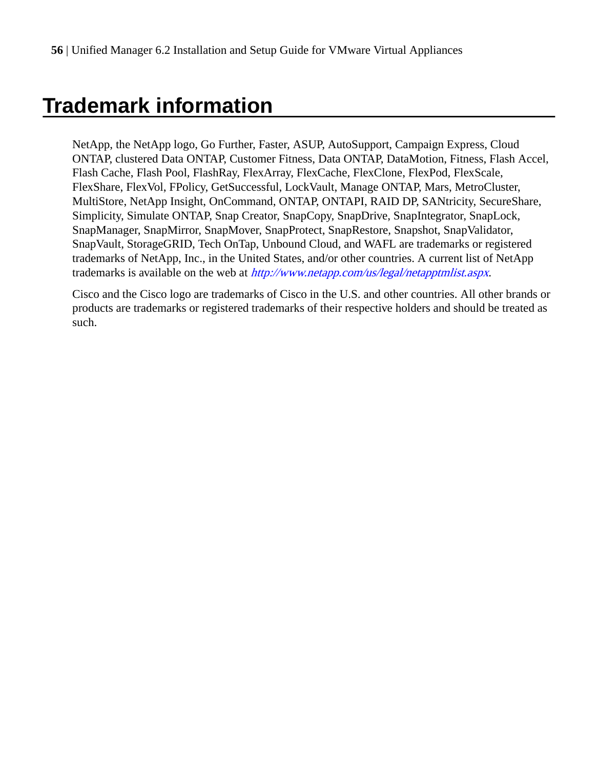# <span id="page-55-0"></span>**Trademark information**

NetApp, the NetApp logo, Go Further, Faster, ASUP, AutoSupport, Campaign Express, Cloud ONTAP, clustered Data ONTAP, Customer Fitness, Data ONTAP, DataMotion, Fitness, Flash Accel, Flash Cache, Flash Pool, FlashRay, FlexArray, FlexCache, FlexClone, FlexPod, FlexScale, FlexShare, FlexVol, FPolicy, GetSuccessful, LockVault, Manage ONTAP, Mars, MetroCluster, MultiStore, NetApp Insight, OnCommand, ONTAP, ONTAPI, RAID DP, SANtricity, SecureShare, Simplicity, Simulate ONTAP, Snap Creator, SnapCopy, SnapDrive, SnapIntegrator, SnapLock, SnapManager, SnapMirror, SnapMover, SnapProtect, SnapRestore, Snapshot, SnapValidator, SnapVault, StorageGRID, Tech OnTap, Unbound Cloud, and WAFL are trademarks or registered trademarks of NetApp, Inc., in the United States, and/or other countries. A current list of NetApp trademarks is available on the web at <http://www.netapp.com/us/legal/netapptmlist.aspx>.

Cisco and the Cisco logo are trademarks of Cisco in the U.S. and other countries. All other brands or products are trademarks or registered trademarks of their respective holders and should be treated as such.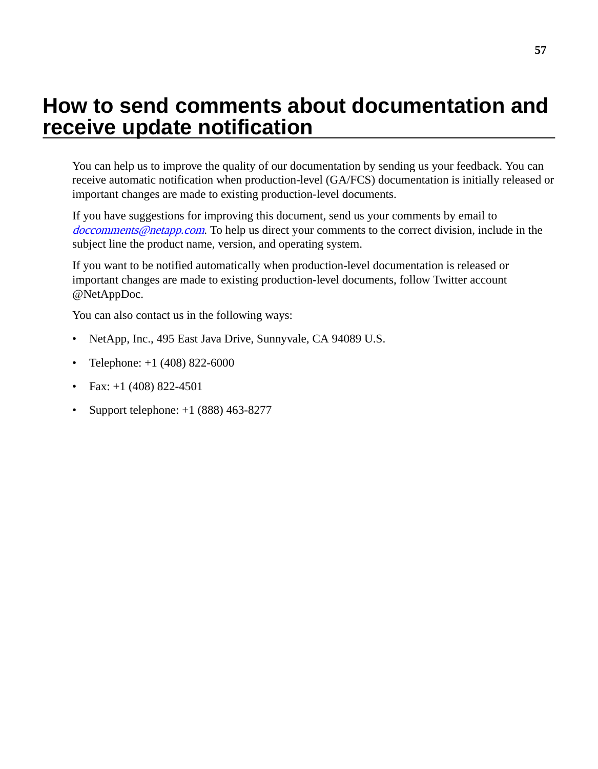# <span id="page-56-0"></span>**How to send comments about documentation and receive update notification**

You can help us to improve the quality of our documentation by sending us your feedback. You can receive automatic notification when production-level (GA/FCS) documentation is initially released or important changes are made to existing production-level documents.

If you have suggestions for improving this document, send us your comments by email to [doccomments@netapp.com](mailto:doccomments@netapp.com). To help us direct your comments to the correct division, include in the subject line the product name, version, and operating system.

If you want to be notified automatically when production-level documentation is released or important changes are made to existing production-level documents, follow Twitter account @NetAppDoc.

You can also contact us in the following ways:

- NetApp, Inc., 495 East Java Drive, Sunnyvale, CA 94089 U.S.
- Telephone:  $+1$  (408) 822-6000
- Fax:  $+1$  (408) 822-4501
- Support telephone:  $+1$  (888) 463-8277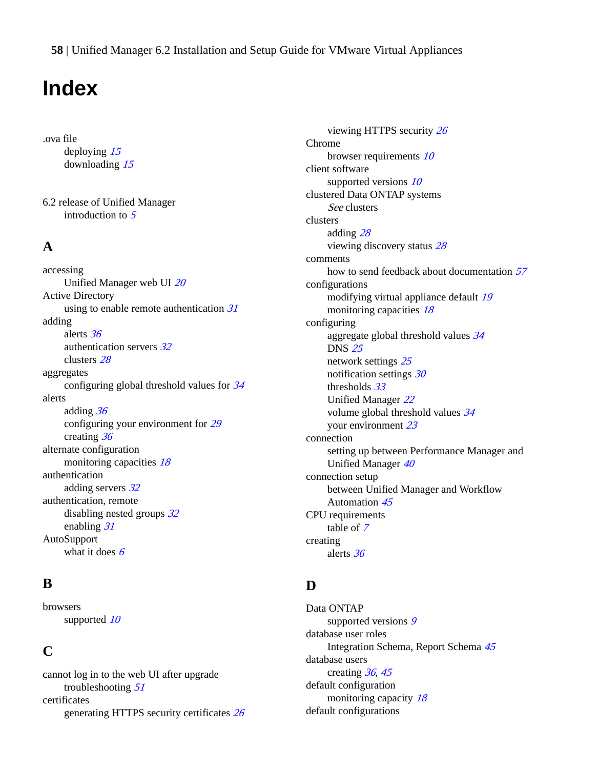# <span id="page-57-0"></span>**Index**

.ova file deploying [15](#page-14-0) downloading [15](#page-14-0)

6.2 release of Unified Manager introduction to [5](#page-4-0)

#### **A**

accessing Unified Manager web UI [20](#page-19-0) Active Directory using to enable remote authentication  $31$ adding alerts [36](#page-35-0) authentication servers [32](#page-31-0) clusters [28](#page-27-0) aggregates configuring global threshold values for [34](#page-33-0) alerts adding [36](#page-35-0) configuring your environment for [29](#page-28-0) creating [36](#page-35-0) alternate configuration monitoring capacities [18](#page-17-0) authentication adding servers [32](#page-31-0) authentication, remote disabling nested groups  $32$ enabling [31](#page-30-0) AutoSupport what it does  $6$ 

#### **B**

browsers supported [10](#page-9-0)

### **C**

cannot log in to the web UI after upgrade troubleshooting [51](#page-50-0) certificates generating HTTPS security certificates [26](#page-25-0)

viewing HTTPS security [26](#page-25-0) Chrome browser requirements [10](#page-9-0) client software supported versions  $10$ clustered Data ONTAP systems See clusters clusters adding [28](#page-27-0) viewing discovery status [28](#page-27-0) comments how to send feedback about documentation [57](#page-56-0) configurations modifying virtual appliance default [19](#page-18-0) monitoring capacities [18](#page-17-0) configuring aggregate global threshold values [34](#page-33-0) DNS [25](#page-24-0) network settings [25](#page-24-0) notification settings [30](#page-29-0) thresholds [33](#page-32-0) Unified Manager [22](#page-21-0) volume global threshold values [34](#page-33-0) your environment [23](#page-22-0) connection setting up between Performance Manager and Unified Manager [40](#page-39-0) connection setup between Unified Manager and Workflow Automation [45](#page-44-0) CPU requirements table of [7](#page-6-0) creating alerts [36](#page-35-0)

### **D**

Data ONTAP supported versions [9](#page-8-0) database user roles Integration Schema, Report Schema [45](#page-44-0) database users creating [36](#page-35-0), [45](#page-44-0) default configuration monitoring capacity [18](#page-17-0) default configurations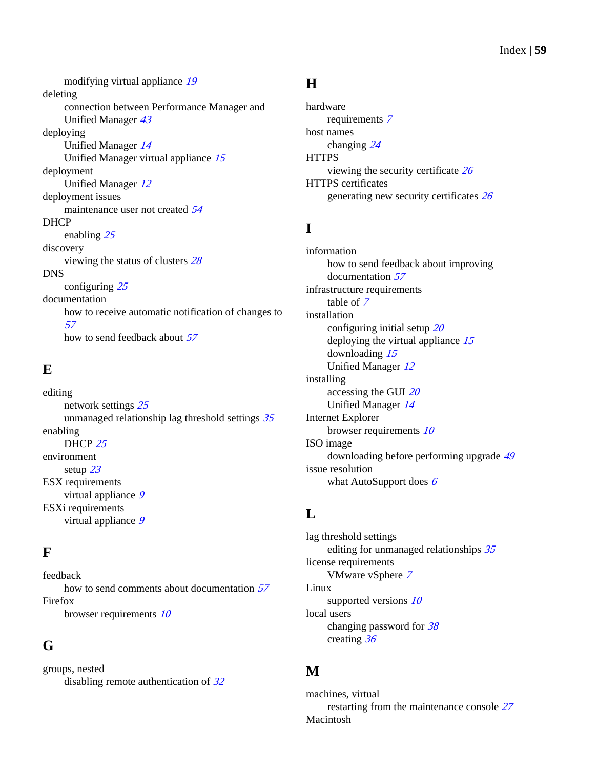modifying virtual appliance [19](#page-18-0) deleting connection between Performance Manager and Unified Manager [43](#page-42-0) deploying Unified Manager [14](#page-13-0) Unified Manager virtual appliance [15](#page-14-0) deployment Unified Manager [12](#page-11-0) deployment issues maintenance user not created [54](#page-53-0) DHCP enabling [25](#page-24-0) discovery viewing the status of clusters [28](#page-27-0) DNS configuring [25](#page-24-0) documentation how to receive automatic notification of changes to [57](#page-56-0) how to send feedback about [57](#page-56-0)

## **E**

editing network settings [25](#page-24-0) unmanaged relationship lag threshold settings [35](#page-34-0) enabling DHCP [25](#page-24-0) environment setup [23](#page-22-0) ESX requirements virtual appliance [9](#page-8-0) ESXi requirements virtual appliance [9](#page-8-0)

## **F**

feedback how to send comments about documentation [57](#page-56-0) Firefox browser requirements [10](#page-9-0)

## **G**

groups, nested disabling remote authentication of  $32$ 

### **H**

hardware requirements [7](#page-6-0) host names changing [24](#page-23-0) **HTTPS** viewing the security certificate [26](#page-25-0) HTTPS certificates generating new security certificates [26](#page-25-0)

## **I**

information how to send feedback about improving documentation [57](#page-56-0) infrastructure requirements table of [7](#page-6-0) installation configuring initial setup [20](#page-19-0) deploying the virtual appliance [15](#page-14-0) downloading [15](#page-14-0) Unified Manager [12](#page-11-0) installing accessing the GUI [20](#page-19-0) Unified Manager [14](#page-13-0) Internet Explorer browser requirements [10](#page-9-0) ISO image downloading before performing upgrade [49](#page-48-0) issue resolution what AutoSupport does [6](#page-5-0)

## **L**

lag threshold settings editing for unmanaged relationships [35](#page-34-0) license requirements VMware vSphere [7](#page-6-0) Linux supported versions  $10$ local users changing password for [38](#page-37-0) creating [36](#page-35-0)

## **M**

machines, virtual restarting from the maintenance console [27](#page-26-0) Macintosh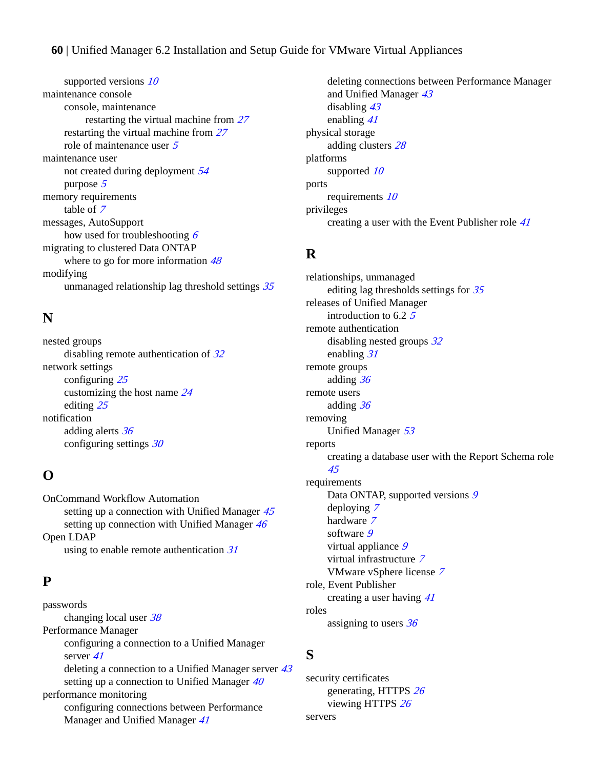supported versions [10](#page-9-0) maintenance console console, maintenance restarting the virtual machine from [27](#page-26-0) restarting the virtual machine from [27](#page-26-0) role of maintenance user [5](#page-4-0) maintenance user not created during deployment [54](#page-53-0) purpose [5](#page-4-0) memory requirements table of [7](#page-6-0) messages, AutoSupport how used for troubleshooting  $6$ migrating to clustered Data ONTAP where to go for more information  $48$ modifying unmanaged relationship lag threshold settings [35](#page-34-0)

### **N**

nested groups disabling remote authentication of  $32$ network settings configuring [25](#page-24-0) customizing the host name [24](#page-23-0) editing [25](#page-24-0) notification adding alerts [36](#page-35-0) configuring settings [30](#page-29-0)

### **O**

OnCommand Workflow Automation setting up a connection with Unified Manager  $45$ setting up connection with Unified Manager [46](#page-45-0) Open LDAP using to enable remote authentication [31](#page-30-0)

### **P**

passwords changing local user [38](#page-37-0) Performance Manager configuring a connection to a Unified Manager server [41](#page-40-0) deleting a connection to a Unified Manager server [43](#page-42-0) setting up a connection to Unified Manager  $40$ performance monitoring configuring connections between Performance Manager and Unified Manager [41](#page-40-0)

deleting connections between Performance Manager and Unified Manager [43](#page-42-0) disabling [43](#page-42-0) enabling [41](#page-40-0) physical storage adding clusters [28](#page-27-0) platforms supported [10](#page-9-0) ports requirements [10](#page-9-0) privileges creating a user with the Event Publisher role [41](#page-40-0)

### **R**

relationships, unmanaged editing lag thresholds settings for [35](#page-34-0) releases of Unified Manager introduction to 6.2 [5](#page-4-0) remote authentication disabling nested groups [32](#page-31-0) enabling [31](#page-30-0) remote groups adding [36](#page-35-0) remote users adding [36](#page-35-0) removing Unified Manager [53](#page-52-0) reports creating a database user with the Report Schema role [45](#page-44-0) requirements Data ONTAP, supported versions [9](#page-8-0) deploying [7](#page-6-0) hardware [7](#page-6-0) software [9](#page-8-0) virtual appliance [9](#page-8-0) virtual infrastructure [7](#page-6-0) VMware vSphere license [7](#page-6-0) role, Event Publisher creating a user having [41](#page-40-0) roles

assigning to users [36](#page-35-0)

### **S**

security certificates generating, HTTPS [26](#page-25-0) viewing HTTPS [26](#page-25-0) servers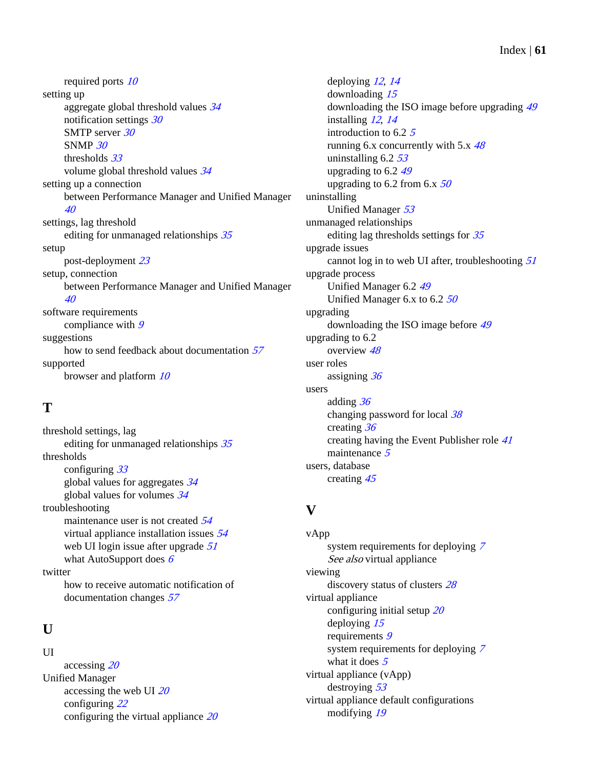required ports [10](#page-9-0) setting up aggregate global threshold values [34](#page-33-0) notification settings [30](#page-29-0) SMTP server [30](#page-29-0) SNMP [30](#page-29-0) thresholds [33](#page-32-0) volume global threshold values [34](#page-33-0) setting up a connection between Performance Manager and Unified Manager [40](#page-39-0) settings, lag threshold editing for unmanaged relationships [35](#page-34-0) setup post-deployment [23](#page-22-0) setup, connection between Performance Manager and Unified Manager [40](#page-39-0) software requirements compliance with [9](#page-8-0) suggestions how to send feedback about documentation [57](#page-56-0) supported browser and platform [10](#page-9-0)

## **T**

threshold settings, lag editing for unmanaged relationships [35](#page-34-0) thresholds configuring [33](#page-32-0) global values for aggregates [34](#page-33-0) global values for volumes [34](#page-33-0) troubleshooting maintenance user is not created [54](#page-53-0) virtual appliance installation issues [54](#page-53-0) web UI login issue after upgrade [51](#page-50-0) what AutoSupport does [6](#page-5-0) twitter how to receive automatic notification of documentation changes [57](#page-56-0)

## **U**

UI

accessing [20](#page-19-0) Unified Manager accessing the web UI  $20$ configuring [22](#page-21-0) configuring the virtual appliance [20](#page-19-0)

deploying [12](#page-11-0), [14](#page-13-0) downloading [15](#page-14-0) downloading the ISO image before upgrading [49](#page-48-0) installing [12](#page-11-0), [14](#page-13-0) introduction to 6.2 [5](#page-4-0) running 6.x concurrently with 5.x  $48$ uninstalling  $6.2$   $53$ upgrading to 6.2 [49](#page-48-0) upgrading to 6.2 from 6.x  $50$ uninstalling Unified Manager [53](#page-52-0) unmanaged relationships editing lag thresholds settings for [35](#page-34-0) upgrade issues cannot log in to web UI after, troubleshooting  $51$ upgrade process Unified Manager 6.2 [49](#page-48-0) Unified Manager 6.x to 6.2 [50](#page-49-0) upgrading downloading the ISO image before [49](#page-48-0) upgrading to 6.2 overview [48](#page-47-0) user roles assigning [36](#page-35-0) users adding [36](#page-35-0) changing password for local [38](#page-37-0) creating [36](#page-35-0) creating having the Event Publisher role [41](#page-40-0) maintenance [5](#page-4-0) users, database creating [45](#page-44-0)

## **V**

vApp system requirements for deploying [7](#page-6-0) See also virtual appliance viewing discovery status of clusters [28](#page-27-0) virtual appliance configuring initial setup [20](#page-19-0) deploying [15](#page-14-0) requirements [9](#page-8-0) system requirements for deploying [7](#page-6-0) what it does  $5$ virtual appliance (vApp) destroying [53](#page-52-0) virtual appliance default configurations modifying [19](#page-18-0)